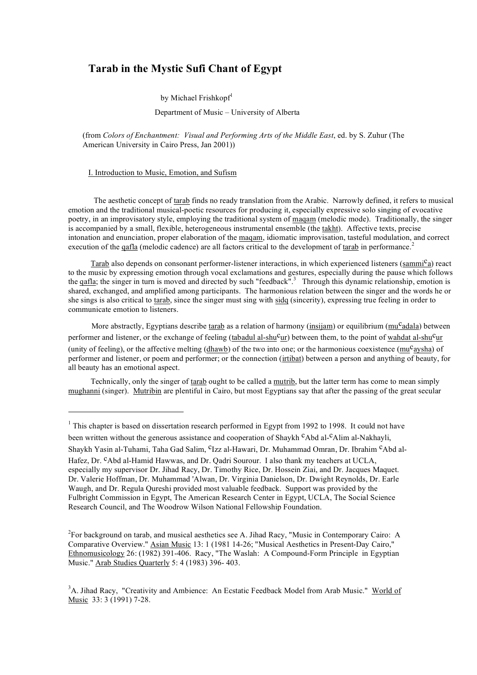# by Michael Frishkopf<sup>1</sup>

Department of Music – University of Alberta

(from *Colors of Enchantment: Visual and Performing Arts of the Middle East*, ed. by S. Zuhur (The American University in Cairo Press, Jan 2001))

#### I. Introduction to Music, Emotion, and Sufism

 $\overline{a}$ 

The aesthetic concept of tarab finds no ready translation from the Arabic. Narrowly defined, it refers to musical emotion and the traditional musical-poetic resources for producing it, especially expressive solo singing of evocative poetry, in an improvisatory style, employing the traditional system of maqam (melodic mode). Traditionally, the singer is accompanied by a small, flexible, heterogeneous instrumental ensemble (the takht). Affective texts, precise intonation and enunciation, proper elaboration of the maqam, idiomatic improvisation, tasteful modulation, and correct execution of the gafla (melodic cadence) are all factors critical to the development of tarab in performance.<sup>2</sup>

Tarab also depends on consonant performer-listener interactions, in which experienced listeners (sammi<sup>c</sup>a) react to the music by expressing emotion through vocal exclamations and gestures, especially during the pause which follows the gafla; the singer in turn is moved and directed by such "feedback".<sup>3</sup> Through this dynamic relationship, emotion is shared, exchanged, and amplified among participants. The harmonious relation between the singer and the words he or she sings is also critical to tarab, since the singer must sing with sidq (sincerity), expressing true feeling in order to communicate emotion to listeners.

More abstractly, Egyptians describe tarab as a relation of harmony (insijam) or equilibrium (mu<sup>c</sup>adala) between performer and listener, or the exchange of feeling (tabadul al-shu<sup>c</sup>ur) between them, to the point of wahdat al-shu<sup>c</sup>ur (unity of feeling), or the affective melting (dhawb) of the two into one; or the harmonious coexistence (mu<sup>c</sup>aysha) of performer and listener, or poem and performer; or the connection (irtibat) between a person and anything of beauty, for all beauty has an emotional aspect.

Technically, only the singer of tarab ought to be called a mutrib, but the latter term has come to mean simply mughanni (singer). Mutribin are plentiful in Cairo, but most Egyptians say that after the passing of the great secular

Shaykh Yasin al-Tuhami, Taha Gad Salim, <sup>c</sup>Izz al-Hawari, Dr. Muhammad Omran, Dr. Ibrahim <sup>c</sup>Abd al-

 $1$ <sup>1</sup> This chapter is based on dissertation research performed in Egypt from 1992 to 1998. It could not have been written without the generous assistance and cooperation of Shaykh <sup>c</sup>Abd al-<sup>c</sup>Alim al-Nakhayli.

Hafez, Dr. <sup>c</sup>Abd al-Hamid Hawwas, and Dr. Qadri Sourour. I also thank my teachers at UCLA, especially my supervisor Dr. Jihad Racy, Dr. Timothy Rice, Dr. Hossein Ziai, and Dr. Jacques Maquet. Dr. Valerie Hoffman, Dr. Muhammad 'Alwan, Dr. Virginia Danielson, Dr. Dwight Reynolds, Dr. Earle Waugh, and Dr. Regula Qureshi provided most valuable feedback. Support was provided by the Fulbright Commission in Egypt, The American Research Center in Egypt, UCLA, The Social Science Research Council, and The Woodrow Wilson National Fellowship Foundation.

 $2^2$ For background on tarab, and musical aesthetics see A. Jihad Racy, "Music in Contemporary Cairo: A Comparative Overview." Asian Music 13: 1 (1981 14-26; "Musical Aesthetics in Present-Day Cairo," Ethnomusicology 26: (1982) 391-406. Racy, "The Waslah: A Compound-Form Principle in Egyptian Music." Arab Studies Quarterly 5: 4 (1983) 396- 403.

<sup>&</sup>lt;sup>3</sup>A. Jihad Racy, "Creativity and Ambience: An Ecstatic Feedback Model from Arab Music." World of Music 33: 3 (1991) 7-28.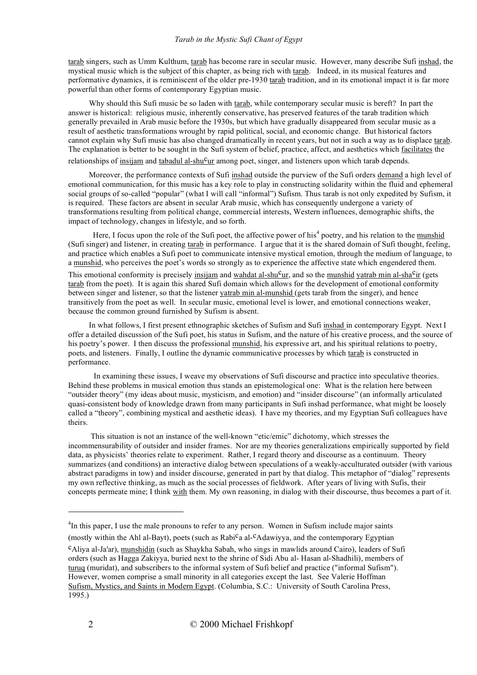tarab singers, such as Umm Kulthum, tarab has become rare in secular music. However, many describe Sufi inshad, the mystical music which is the subject of this chapter, as being rich with tarab. Indeed, in its musical features and performative dynamics, it is reminiscent of the older pre-1930 tarab tradition, and in its emotional impact it is far more powerful than other forms of contemporary Egyptian music.

Why should this Sufi music be so laden with tarab, while contemporary secular music is bereft? In part the answer is historical: religious music, inherently conservative, has preserved features of the tarab tradition which generally prevailed in Arab music before the 1930s, but which have gradually disappeared from secular music as a result of aesthetic transformations wrought by rapid political, social, and economic change. But historical factors cannot explain why Sufi music has also changed dramatically in recent years, but not in such a way as to displace tarab. The explanation is better to be sought in the Sufi system of belief, practice, affect, and aesthetics which facilitates the relationships of insijam and tabadul al-shu<sup>c</sup>ur among poet, singer, and listeners upon which tarab depends.

Moreover, the performance contexts of Sufi inshad outside the purview of the Sufi orders demand a high level of emotional communication, for this music has a key role to play in constructing solidarity within the fluid and ephemeral social groups of so-called "popular" (what I will call "informal") Sufism. Thus tarab is not only expedited by Sufism, it is required. These factors are absent in secular Arab music, which has consequently undergone a variety of transformations resulting from political change, commercial interests, Western influences, demographic shifts, the impact of technology, changes in lifestyle, and so forth.

Here, I focus upon the role of the Sufi poet, the affective power of his<sup>4</sup> poetry, and his relation to the munshid (Sufi singer) and listener, in creating tarab in performance. I argue that it is the shared domain of Sufi thought, feeling, and practice which enables a Sufi poet to communicate intensive mystical emotion, through the medium of language, to a munshid, who perceives the poet's words so strongly as to experience the affective state which engendered them. This emotional conformity is precisely insijam and wahdat al-shu<sup>c</sup>ur, and so the munshid vatrab min al-sha<sup>c</sup>ir (gets tarab from the poet). It is again this shared Sufi domain which allows for the development of emotional conformity between singer and listener, so that the listener <u>yatrab min al-munshid (gets</u> tarab from the singer), and hence transitively from the poet as well. In secular music, emotional level is lower, and emotional connections weaker, because the common ground furnished by Sufism is absent.

In what follows, I first present ethnographic sketches of Sufism and Sufi inshad in contemporary Egypt. Next I offer a detailed discussion of the Sufi poet, his status in Sufism, and the nature of his creative process, and the source of his poetry's power. I then discuss the professional munshid, his expressive art, and his spiritual relations to poetry, poets, and listeners. Finally, I outline the dynamic communicative processes by which tarab is constructed in performance.

In examining these issues, I weave my observations of Sufi discourse and practice into speculative theories. Behind these problems in musical emotion thus stands an epistemological one: What is the relation here between "outsider theory" (my ideas about music, mysticism, and emotion) and "insider discourse" (an informally articulated quasi-consistent body of knowledge drawn from many participants in Sufi inshad performance, what might be loosely called a "theory", combining mystical and aesthetic ideas). I have my theories, and my Egyptian Sufi colleagues have theirs.

This situation is not an instance of the well-known "etic/emic" dichotomy, which stresses the incommensurability of outsider and insider frames. Nor are my theories generalizations empirically supported by field data, as physicists' theories relate to experiment. Rather, I regard theory and discourse as a continuum. Theory summarizes (and conditions) an interactive dialog between speculations of a weakly-acculturated outsider (with various abstract paradigms in tow) and insider discourse, generated in part by that dialog. This metaphor of "dialog" represents my own reflective thinking, as much as the social processes of fieldwork. After years of living with Sufis, their concepts permeate mine; I think with them. My own reasoning, in dialog with their discourse, thus becomes a part of it.

(mostly within the Ahl al-Bayt), poets (such as Rabi<sup>c</sup>a al-<sup>c</sup>Adawiyya, and the contemporary Egyptian

 $c_A$ liya al-Ja'ar), munshidin (such as Shaykha Sabah, who sings in mawlids around Cairo), leaders of Sufi orders (such as Hagga Zakiyya, buried next to the shrine of Sidi Abu al- Hasan al-Shadhili), members of turuq (muridat), and subscribers to the informal system of Sufi belief and practice ("informal Sufism"). However, women comprise a small minority in all categories except the last. See Valerie Hoffman Sufism, Mystics, and Saints in Modern Egypt. (Columbia, S.C.: University of South Carolina Press, 1995.)

<sup>&</sup>lt;sup>4</sup>In this paper, I use the male pronouns to refer to any person. Women in Sufism include major saints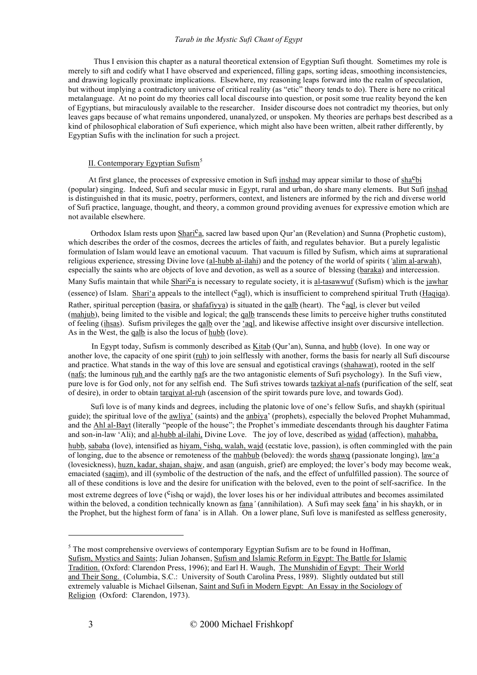Thus I envision this chapter as a natural theoretical extension of Egyptian Sufi thought. Sometimes my role is merely to sift and codify what I have observed and experienced, filling gaps, sorting ideas, smoothing inconsistencies, and drawing logically proximate implications. Elsewhere, my reasoning leaps forward into the realm of speculation, but without implying a contradictory universe of critical reality (as "etic" theory tends to do). There is here no critical metalanguage. At no point do my theories call local discourse into question, or posit some true reality beyond the ken of Egyptians, but miraculously available to the researcher. Insider discourse does not contradict my theories, but only leaves gaps because of what remains unpondered, unanalyzed, or unspoken. My theories are perhaps best described as a kind of philosophical elaboration of Sufi experience, which might also have been written, albeit rather differently, by Egyptian Sufis with the inclination for such a project.

#### II. Contemporary Egyptian Sufism<sup>5</sup>

At first glance, the processes of expressive emotion in Sufi inshad may appear similar to those of sha<sup>c</sup>bi (popular) singing. Indeed, Sufi and secular music in Egypt, rural and urban, do share many elements. But Sufi inshad is distinguished in that its music, poetry, performers, context, and listeners are informed by the rich and diverse world of Sufi practice, language, thought, and theory, a common ground providing avenues for expressive emotion which are not available elsewhere.

Orthodox Islam rests upon Shari<sup>c</sup>a, sacred law based upon Qur'an (Revelation) and Sunna (Prophetic custom), which describes the order of the cosmos, decrees the articles of faith, and regulates behavior. But a purely legalistic formulation of Islam would leave an emotional vacuum. That vacuum is filled by Sufism, which aims at suprarational religious experience, stressing Divine love (al-hubb al-ilahi) and the potency of the world of spirits (*'*alim al-arwah), especially the saints who are objects of love and devotion, as well as a source of blessing (baraka) and intercession. Many Sufis maintain that while Shari<sup>c</sup>a is necessary to regulate society, it is al-tasawwuf (Sufism) which is the jawhar (essence) of Islam. Shari'a appeals to the intellect  $(\frac{c_{\alpha q}}{l})$ , which is insufficient to comprehend spiritual Truth (Haqiqa). Rather, spiritual perception (basira, or shafafiyya) is situated in the galb (heart). The <sup>c</sup>agl, is clever but veiled (mahjub), being limited to the visible and logical; the <u>qalb</u> transcends these limits to perceive higher truths constituted of feeling (ihsas). Sufism privileges the qalb over the 'aql, and likewise affective insight over discursive intellection. As in the West, the qalb is also the locus of hubb (love).

In Egypt today, Sufism is commonly described as <u>Kitab</u> (Qur'an), Sunna, and hubb (love). In one way or another love, the capacity of one spirit (ruh) to join selflessly with another, forms the basis for nearly all Sufi discourse and practice. What stands in the way of this love are sensual and egotistical cravings (shahawat), rooted in the self (nafs; the luminous ruh and the earthly nafs are the two antagonistic elements of Sufi psychology). In the Sufi view, pure love is for God only, not for any selfish end. The Sufi strives towards tazkiyat al-nafs (purification of the self, seat of desire), in order to obtain tarqiyat al-ruh (ascension of the spirit towards pure love, and towards God).

Sufi love is of many kinds and degrees, including the platonic love of one's fellow Sufis, and shaykh (spiritual guide); the spiritual love of the awliya' (saints) and the anbiya' (prophets), especially the beloved Prophet Muhammad, and the Ahl al-Bayt (literally "people of the house"; the Prophet's immediate descendants through his daughter Fatima and son-in-law 'Ali); and al-hubb al-ilahi, Divine Love. The joy of love, described as widad (affection), mahabba, hubb, sababa (love), intensified as hiyam, <sup>c</sup>ishq, walah, wajd (ecstatic love, passion), is often commingled with the pain of longing, due to the absence or remoteness of the mahbub (beloved): the words shawq (passionate longing), law'a (lovesickness), huzn, kadar, shajan, shajw, and asan (anguish, grief) are employed; the lover's body may become weak, emaciated (saqim), and ill (symbolic of the destruction of the nafs, and the effect of unfulfilled passion). The source of all of these conditions is love and the desire for unification with the beloved, even to the point of self-sacrifice. In the most extreme degrees of love (<sup>c</sup>ishq or wajd), the lover loses his or her individual attributes and becomes assimilated within the beloved, a condition technically known as fana*'* (annihilation). A Sufi may seek fana' in his shaykh, or in the Prophet, but the highest form of fana' is in Allah. On a lower plane, Sufi love is manifested as selfless generosity,

 $<sup>5</sup>$  The most comprehensive overviews of contemporary Egyptian Sufism are to be found in Hoffman,</sup> Sufism, Mystics and Saints; Julian Johansen, Sufism and Islamic Reform in Egypt: The Battle for Islamic Tradition. (Oxford: Clarendon Press, 1996); and Earl H. Waugh, The Munshidin of Egypt: Their World and Their Song. (Columbia, S.C.: University of South Carolina Press, 1989). Slightly outdated but still extremely valuable is Michael Gilsenan, Saint and Sufi in Modern Egypt: An Essay in the Sociology of Religion (Oxford: Clarendon, 1973).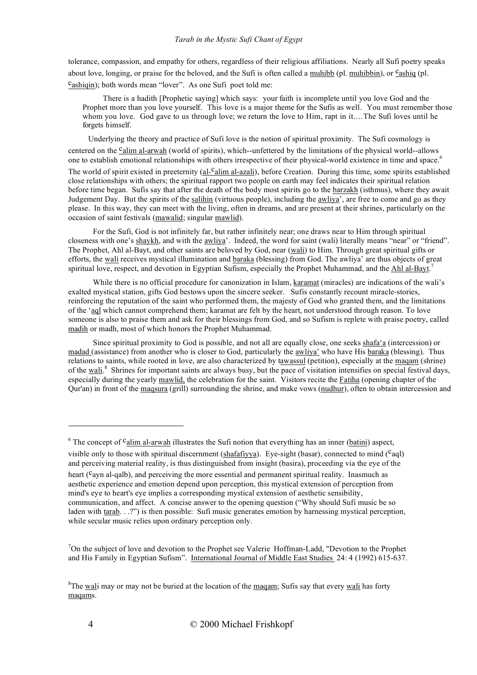tolerance, compassion, and empathy for others, regardless of their religious affiliations. Nearly all Sufi poetry speaks about love, longing, or praise for the beloved, and the Sufi is often called a muhibb (pl. muhibbin), or <sup>c</sup>ashiq (pl.  $c<sub>ashiqin</sub>$ ; both words mean "lover". As one Sufi poet told me:

There is a hadith [Prophetic saying] which says: your faith is incomplete until you love God and the Prophet more than you love yourself. This love is a major theme for the Sufis as well. You must remember those whom you love. God gave to us through love; we return the love to Him, rapt in it....The Sufi loves until he forgets himself.

Underlying the theory and practice of Sufi love is the notion of spiritual proximity. The Sufi cosmology is centered on the <sup>c</sup>alim al-arwah (world of spirits), which--unfettered by the limitations of the physical world--allows one to establish emotional relationships with others irrespective of their physical-world existence in time and space. 6 The world of spirit existed in preeternity (al-<sup>c</sup>alim al-azali), before Creation. During this time, some spirits established close relationships with others; the spiritual rapport two people on earth may feel indicates their spiritual relation before time began. Sufis say that after the death of the body most spirits go to the barzakh (isthmus), where they await Judgement Day. But the spirits of the salihin (virtuous people), including the awliya', are free to come and go as they please. In this way, they can meet with the living, often in dreams, and are present at their shrines, particularly on the occasion of saint festivals (mawalid; singular mawlid).

For the Sufi, God is not infinitely far, but rather infinitely near; one draws near to Him through spiritual closeness with one's shaykh, and with the awliya'. Indeed, the word for saint (wali) literally means "near" or "friend". The Prophet, Ahl al-Bayt, and other saints are beloved by God, near (wali) to Him. Through great spiritual gifts or efforts, the wali receives mystical illumination and baraka (blessing) from God. The awliya' are thus objects of great spiritual love, respect, and devotion in Egyptian Sufism, especially the Prophet Muhammad, and the Ahl al-Bayt.<sup>7</sup>

While there is no official procedure for canonization in Islam, karamat (miracles) are indications of the wali's exalted mystical station, gifts God bestows upon the sincere seeker. Sufis constantly recount miracle-stories, reinforcing the reputation of the saint who performed them, the majesty of God who granted them, and the limitations of the 'aql which cannot comprehend them; karamat are felt by the heart, not understood through reason. To love someone is also to praise them and ask for their blessings from God, and so Sufism is replete with praise poetry, called madih or madh, most of which honors the Prophet Muhammad.

Since spiritual proximity to God is possible, and not all are equally close, one seeks shafa'a (intercession) or madad (assistance) from another who is closer to God, particularly the awliya' who have His baraka (blessing). Thus relations to saints, while rooted in love, are also characterized by tawassul (petition), especially at the maqam (shrine) of the wall.<sup>8</sup> Shrines for important saints are always busy, but the pace of visitation intensifies on special festival days, especially during the yearly mawlid, the celebration for the saint. Visitors recite the Fatiha (opening chapter of the Qur'an) in front of the maqsura (grill) surrounding the shrine, and make vows (nudhur), often to obtain intercession and

<sup>7</sup>On the subject of love and devotion to the Prophet see Valerie Hoffman-Ladd, "Devotion to the Prophet and His Family in Egyptian Sufism". International Journal of Middle East Studies 24: 4 (1992) 615-637.

 $6$  The concept of  $c_{\text{alim al-arwah}}$  illustrates the Sufi notion that everything has an inner (batini) aspect, visible only to those with spiritual discernment (shafafiyya). Eye-sight (basar), connected to mind  $({}^{\text{c}}$ aql) and perceiving material reality, is thus distinguished from insight (basira), proceeding via the eye of the heart ( $c$ ayn al-qalb), and perceiving the more essential and permanent spiritual reality. Inasmuch as aesthetic experience and emotion depend upon perception, this mystical extension of perception from mind's eye to heart's eye implies a corresponding mystical extension of aesthetic sensibility, communication, and affect. A concise answer to the opening question ("Why should Sufi music be so laden with tarab. . .?") is then possible: Sufi music generates emotion by harnessing mystical perception, while secular music relies upon ordinary perception only.

<sup>&</sup>lt;sup>8</sup>The <u>wal</u>i may or may not be buried at the location of the  $\overline{m}$  maqam; Sufis say that every wall has forty maqams.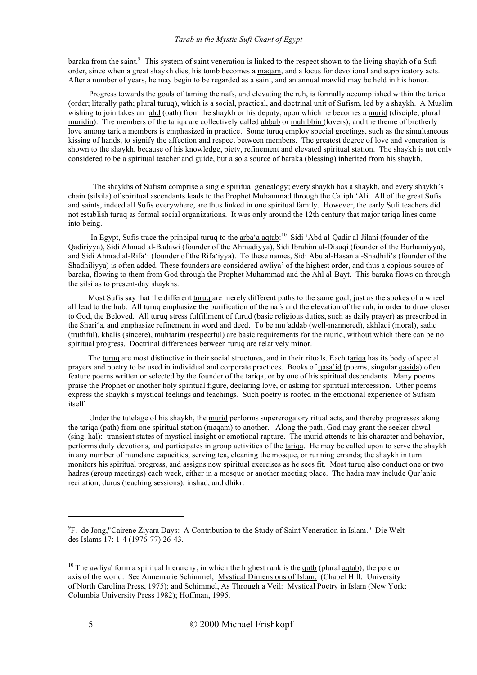baraka from the saint.<sup>9</sup> This system of saint veneration is linked to the respect shown to the living shaykh of a Sufi order, since when a great shaykh dies, his tomb becomes a maqam, and a locus for devotional and supplicatory acts. After a number of years, he may begin to be regarded as a saint, and an annual mawlid may be held in his honor.

Progress towards the goals of taming the nafs, and elevating the ruh, is formally accomplished within the tariqa (order; literally path; plural turuq), which is a social, practical, and doctrinal unit of Sufism, led by a shaykh. A Muslim wishing to join takes an *'*ahd (oath) from the shaykh or his deputy, upon which he becomes a murid (disciple; plural muridin). The members of the tariqa are collectively called ahbab or muhibbin (lovers), and the theme of brotherly love among tariqa members is emphasized in practice. Some turuq employ special greetings, such as the simultaneous kissing of hands, to signify the affection and respect between members. The greatest degree of love and veneration is shown to the shaykh, because of his knowledge, piety, refinement and elevated spiritual station. The shaykh is not only considered to be a spiritual teacher and guide, but also a source of baraka (blessing) inherited from his shaykh.

The shaykhs of Sufism comprise a single spiritual genealogy; every shaykh has a shaykh, and every shaykh's chain (silsila) of spiritual ascendants leads to the Prophet Muhammad through the Caliph 'Ali. All of the great Sufis and saints, indeed all Sufis everywhere, are thus linked in one spiritual family. However, the early Sufi teachers did not establish turuq as formal social organizations. It was only around the 12th century that major tariqa lines came into being.

In Egypt, Sufis trace the principal turuq to the arba'a aqtab:<sup>10</sup> Sidi 'Abd al-Qadir al-Jilani (founder of the Qadiriyya), Sidi Ahmad al-Badawi (founder of the Ahmadiyya), Sidi Ibrahim al-Disuqi (founder of the Burhamiyya), and Sidi Ahmad al-Rifa'i (founder of the Rifa'iyya). To these names, Sidi Abu al-Hasan al-Shadhili's (founder of the Shadhiliyya) is often added. These founders are considered awliya' of the highest order, and thus a copious source of baraka, flowing to them from God through the Prophet Muhammad and the Ahl al-Bayt. This baraka flows on through the silsilas to present-day shaykhs.

Most Sufis say that the different turuq are merely different paths to the same goal, just as the spokes of a wheel all lead to the hub. All turuq emphasize the purification of the nafs and the elevation of the ruh, in order to draw closer to God, the Beloved. All turuq stress fulfillment of furud (basic religious duties, such as daily prayer) as prescribed in the Shari'a, and emphasize refinement in word and deed. To be mu*'*addab (well-mannered), akhlaqi (moral), sadiq (truthful), khalis (sincere), muhtarim (respectful) are basic requirements for the murid, without which there can be no spiritual progress. Doctrinal differences between turuq are relatively minor.

The turuq are most distinctive in their social structures, and in their rituals. Each tariqa has its body of special prayers and poetry to be used in individual and corporate practices. Books of qasa'id (poems, singular qasida) often feature poems written or selected by the founder of the tariqa, or by one of his spiritual descendants. Many poems praise the Prophet or another holy spiritual figure, declaring love, or asking for spiritual intercession. Other poems express the shaykh's mystical feelings and teachings. Such poetry is rooted in the emotional experience of Sufism itself.

Under the tutelage of his shaykh, the murid performs supererogatory ritual acts, and thereby progresses along the tariqa (path) from one spiritual station (maqam) to another. Along the path, God may grant the seeker ahwal (sing. hal): transient states of mystical insight or emotional rapture. The murid attends to his character and behavior, performs daily devotions, and participates in group activities of the tariqa. He may be called upon to serve the shaykh in any number of mundane capacities, serving tea, cleaning the mosque, or running errands; the shaykh in turn monitors his spiritual progress, and assigns new spiritual exercises as he sees fit. Most turuq also conduct one or two hadras (group meetings) each week, either in a mosque or another meeting place. The hadra may include Qur'anic recitation, durus (teaching sessions), inshad, and dhikr.

<sup>&</sup>lt;sup>9</sup>F. de Jong,"Cairene Ziyara Days: A Contribution to the Study of Saint Veneration in Islam." <u>Die Welt</u> des Islams 17: 1-4 (1976-77) 26-43.

 $10$  The awliya' form a spiritual hierarchy, in which the highest rank is the qutb (plural aqtab), the pole or axis of the world. See Annemarie Schimmel, Mystical Dimensions of Islam. (Chapel Hill: University of North Carolina Press, 1975); and Schimmel, As Through a Veil: Mystical Poetry in Islam (New York: Columbia University Press 1982); Hoffman, 1995.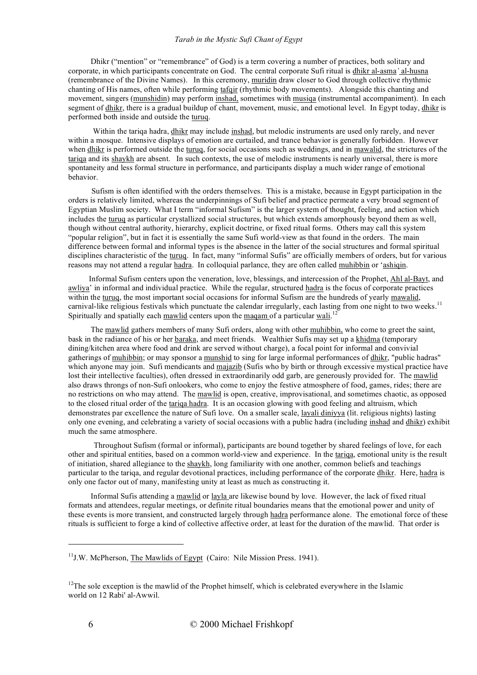Dhikr ("mention" or "remembrance" of God) is a term covering a number of practices, both solitary and corporate, in which participants concentrate on God. The central corporate Sufi ritual is dhikr al-asma*'* al-husna (remembrance of the Divine Names). In this ceremony, muridin draw closer to God through collective rhythmic chanting of His names, often while performing tafqir (rhythmic body movements). Alongside this chanting and movement, singers (munshidin) may perform inshad, sometimes with musiqa (instrumental accompaniment). In each segment of dhikr, there is a gradual buildup of chant, movement, music, and emotional level. In Egypt today, dhikr is performed both inside and outside the turuq.

Within the tariqa hadra, dhikr may include inshad, but melodic instruments are used only rarely, and never within a mosque. Intensive displays of emotion are curtailed, and trance behavior is generally forbidden. However when dhikr is performed outside the turuq, for social occasions such as weddings, and in mawalid, the strictures of the tariqa and its shaykh are absent. In such contexts, the use of melodic instruments is nearly universal, there is more spontaneity and less formal structure in performance, and participants display a much wider range of emotional behavior.

Sufism is often identified with the orders themselves. This is a mistake, because in Egypt participation in the orders is relatively limited, whereas the underpinnings of Sufi belief and practice permeate a very broad segment of Egyptian Muslim society. What I term "informal Sufism" is the larger system of thought, feeling, and action which includes the turuq as particular crystallized social structures, but which extends amorphously beyond them as well, though without central authority, hierarchy, explicit doctrine, or fixed ritual forms. Others may call this system "popular religion", but in fact it is essentially the same Sufi world-view as that found in the orders. The main difference between formal and informal types is the absence in the latter of the social structures and formal spiritual disciplines characteristic of the turuq. In fact, many "informal Sufis" are officially members of orders, but for various reasons may not attend a regular hadra. In colloquial parlance, they are often called muhibbin or 'ashiqin.

Informal Sufism centers upon the veneration, love, blessings, and intercession of the Prophet, Ahl al-Bayt, and awliya' in informal and individual practice. While the regular, structured hadra is the focus of corporate practices within the turuq, the most important social occasions for informal Sufism are the hundreds of yearly mawalid, carnival-like religious festivals which punctuate the calendar irregularly, each lasting from one night to two weeks.<sup>11</sup> Spiritually and spatially each mawlid centers upon the maqam of a particular wali.<sup>12</sup>

The mawlid gathers members of many Sufi orders, along with other muhibbin, who come to greet the saint, bask in the radiance of his or her baraka, and meet friends. Wealthier Sufis may set up a khidma (temporary dining/kitchen area where food and drink are served without charge), a focal point for informal and convivial gatherings of muhibbin; or may sponsor a munshid to sing for large informal performances of dhikr, "public hadras" which anyone may join. Sufi mendicants and majazib (Sufis who by birth or through excessive mystical practice have lost their intellective faculties), often dressed in extraordinarily odd garb, are generously provided for. The mawlid also draws throngs of non-Sufi onlookers, who come to enjoy the festive atmosphere of food, games, rides; there are no restrictions on who may attend. The mawlid is open, creative, improvisational, and sometimes chaotic, as opposed to the closed ritual order of the tariqa hadra. It is an occasion glowing with good feeling and altruism, which demonstrates par excellence the nature of Sufi love. On a smaller scale, layali diniyya (lit. religious nights) lasting only one evening, and celebrating a variety of social occasions with a public hadra (including inshad and dhikr) exhibit much the same atmosphere.

Throughout Sufism (formal or informal), participants are bound together by shared feelings of love, for each other and spiritual entities, based on a common world-view and experience. In the tariqa, emotional unity is the result of initiation, shared allegiance to the shaykh, long familiarity with one another, common beliefs and teachings particular to the tariqa, and regular devotional practices, including performance of the corporate dhikr. Here, hadra is only one factor out of many, manifesting unity at least as much as constructing it.

Informal Sufis attending a mawlid or layla are likewise bound by love. However, the lack of fixed ritual formats and attendees, regular meetings, or definite ritual boundaries means that the emotional power and unity of these events is more transient, and constructed largely through hadra performance alone. The emotional force of these rituals is sufficient to forge a kind of collective affective order, at least for the duration of the mawlid. That order is

<sup>&</sup>lt;sup>11</sup> J.W. McPherson, The Mawlids of Egypt (Cairo: Nile Mission Press. 1941).

 $12$ The sole exception is the mawlid of the Prophet himself, which is celebrated everywhere in the Islamic world on 12 Rabi' al-Awwil.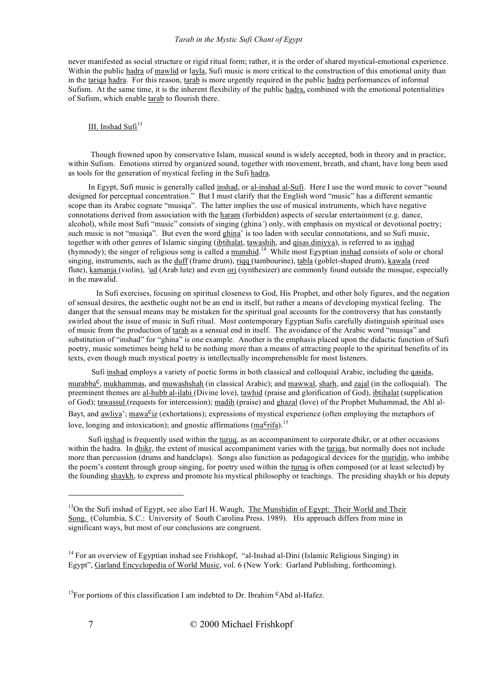never manifested as social structure or rigid ritual form; rather, it is the order of shared mystical-emotional experience. Within the public hadra of mawlid or layla, Sufi music is more critical to the construction of this emotional unity than in the tariqa hadra. For this reason, tarab is more urgently required in the public hadra performances of informal Sufism. At the same time, it is the inherent flexibility of the public hadra, combined with the emotional potentialities of Sufism, which enable tarab to flourish there.

# <u>III. Inshad Sufi</u><sup>13</sup>

Though frowned upon by conservative Islam, musical sound is widely accepted, both in theory and in practice, within Sufism. Emotions stirred by organized sound, together with movement, breath, and chant, have long been used as tools for the generation of mystical feeling in the Sufi hadra.

In Egypt, Sufi music is generally called inshad, or al-inshad al-Sufi. Here I use the word music to cover "sound designed for perceptual concentration." But I must clarify that the English word "music" has a different semantic scope than its Arabic cognate "musiqa". The latter implies the use of musical instruments, which have negative connotations derived from association with the haram (forbidden) aspects of secular entertainment (e.g. dance, alcohol), while most Sufi "music" consists of singing (ghina*'*) only, with emphasis on mystical or devotional poetry; such music is not "musiqa". But even the word ghina' is too laden with secular connotations, and so Sufi music, together with other genres of Islamic singing (ibtihalat, tawashih, and qisas diniyya), is referred to as inshad (hymnody); the singer of religious song is called a munshid.<sup>14</sup> While most Egyptian inshad consists of solo or choral singing, instruments, such as the duff (frame drum), riqq (tambourine), tabla (goblet-shaped drum), kawala (reed flute), kamanja (violin), *'*ud (Arab lute) and even orj (synthesizer) are commonly found outside the mosque, especially in the mawalid.

In Sufi exercises, focusing on spiritual closeness to God, His Prophet, and other holy figures, and the negation of sensual desires, the aesthetic ought not be an end in itself, but rather a means of developing mystical feeling. The danger that the sensual means may be mistaken for the spiritual goal accounts for the controversy that has constantly swirled about the issue of music in Sufi ritual. Most contemporary Egyptian Sufis carefully distinguish spiritual uses of music from the production of tarab as a sensual end in itself. The avoidance of the Arabic word "musiqa" and substitution of "inshad" for "ghina" is one example. Another is the emphasis placed upon the didactic function of Sufi poetry, music sometimes being held to be nothing more than a means of attracting people to the spiritual benefits of its texts, even though much mystical poetry is intellectually incomprehensible for most listeners.

Sufi inshad employs a variety of poetic forms in both classical and colloquial Arabic, including the qasida, murabba<sup>c</sup>, mukhammas, and muwashshah (in classical Arabic); and mawwal, sharh, and zajal (in the colloquial). The preeminent themes are al-hubb al-ilahi (Divine love), tawhid (praise and glorification of God), ibtihalat (supplication of God); tawassul (requests for intercession); madih (praise) and ghazal (love) of the Prophet Muhammad, the Ahl al-Bayt, and awliya'; mawa<sup>c</sup>iz (exhortations); expressions of mystical experience (often employing the metaphors of love, longing and intoxication); and gnostic affirmations  $(ma^c$ rifa).<sup>15</sup>

Sufi inshad is frequently used within the turuq, as an accompaniment to corporate dhikr, or at other occasions within the hadra. In dhikr, the extent of musical accompaniment varies with the tariqa, but normally does not include more than percussion (drums and handclaps). Songs also function as pedagogical devices for the muridin, who imbibe the poem's content through group singing, for poetry used within the turuq is often composed (or at least selected) by the founding shaykh, to express and promote his mystical philosophy or teachings. The presiding shaykh or his deputy

<sup>15</sup> For portions of this classification I am indebted to Dr. Ibrahim  $c$ Abd al-Hafez.

<sup>&</sup>lt;sup>13</sup>On the Sufi inshad of Egypt, see also Earl H. Waugh, The Munshidin of Egypt: Their World and Their Song. (Columbia, S.C.: University of South Carolina Press. 1989). His approach differs from mine in significant ways, but most of our conclusions are congruent.

 $14$  For an overview of Egyptian inshad see Frishkopf, "al-Inshad al-Dini (Islamic Religious Singing) in Egypt", Garland Encyclopedia of World Music, vol. 6 (New York: Garland Publishing, forthcoming).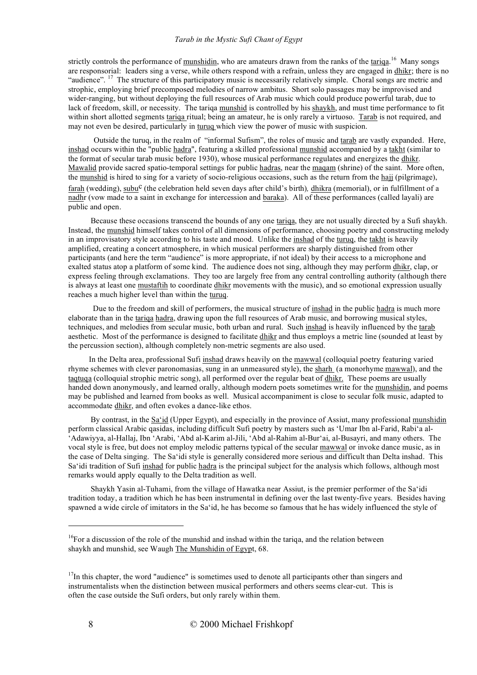strictly controls the performance of munshidin, who are amateurs drawn from the ranks of the tariqa.<sup>16</sup> Many songs are responsorial: leaders sing a verse, while others respond with a refrain, unless they are engaged in dhikr; there is no "audience".  $^{17}$  The structure of this participatory music is necessarily relatively simple. Choral songs are metric and strophic, employing brief precomposed melodies of narrow ambitus. Short solo passages may be improvised and wider-ranging, but without deploying the full resources of Arab music which could produce powerful tarab, due to lack of freedom, skill, or necessity. The tariqa munshid is controlled by his shaykh, and must time performance to fit within short allotted segments tariqa ritual; being an amateur, he is only rarely a virtuoso. Tarab is not required, and may not even be desired, particularly in turuq which view the power of music with suspicion.

Outside the turuq, in the realm of "informal Sufism", the roles of music and tarab are vastly expanded. Here, inshad occurs within the "public hadra", featuring a skilled professional munshid accompanied by a takht (similar to the format of secular tarab music before 1930), whose musical performance regulates and energizes the dhikr. Mawalid provide sacred spatio-temporal settings for public hadras, near the maqam (shrine) of the saint. More often, the <u>munshid</u> is hired to sing for a variety of socio-religious occasions, such as the return from the hajj (pilgrimage), farah (wedding), subu<sup>c</sup> (the celebration held seven days after child's birth), dhikra (memorial), or in fulfillment of a nadhr (vow made to a saint in exchange for intercession and baraka). All of these performances (called layali) are public and open.

Because these occasions transcend the bounds of any one tariqa, they are not usually directed by a Sufi shaykh. Instead, the munshid himself takes control of all dimensions of performance, choosing poetry and constructing melody in an improvisatory style according to his taste and mood. Unlike the inshad of the turuq, the takht is heavily amplified, creating a concert atmosphere, in which musical performers are sharply distinguished from other participants (and here the term "audience" is more appropriate, if not ideal) by their access to a microphone and exalted status atop a platform of some kind. The audience does not sing, although they may perform dhikr, clap, or express feeling through exclamations. They too are largely free from any central controlling authority (although there is always at least one mustaftih to coordinate dhikr movements with the music), and so emotional expression usually reaches a much higher level than within the turuq.

Due to the freedom and skill of performers, the musical structure of inshad in the public hadra is much more elaborate than in the tariqa hadra, drawing upon the full resources of Arab music, and borrowing musical styles, techniques, and melodies from secular music, both urban and rural. Such inshad is heavily influenced by the tarab aesthetic. Most of the performance is designed to facilitate dhikr and thus employs a metric line (sounded at least by the percussion section), although completely non-metric segments are also used.

In the Delta area, professional Sufi inshad draws heavily on the mawwal (colloquial poetry featuring varied rhyme schemes with clever paronomasias, sung in an unmeasured style), the sharh (a monorhyme mawwal), and the taqtuqa (colloquial strophic metric song), all performed over the regular beat of dhikr. These poems are usually handed down anonymously, and learned orally, although modern poets sometimes write for the munshidin, and poems may be published and learned from books as well. Musical accompaniment is close to secular folk music, adapted to accommodate dhikr, and often evokes a dance-like ethos.

By contrast, in the Sa'id (Upper Egypt), and especially in the province of Assiut, many professional munshidin perform classical Arabic qasidas, including difficult Sufi poetry by masters such as 'Umar Ibn al-Farid, Rabi'a al- 'Adawiyya, al-Hallaj, Ibn 'Arabi, 'Abd al-Karim al-Jili, 'Abd al-Rahim al-Bur'ai, al-Busayri, and many others. The vocal style is free, but does not employ melodic patterns typical of the secular mawwal or invoke dance music, as in the case of Delta singing. The Sa'idi style is generally considered more serious and difficult than Delta inshad. This Sa'idi tradition of Sufi inshad for public hadra is the principal subject for the analysis which follows, although most remarks would apply equally to the Delta tradition as well.

Shaykh Yasin al-Tuhami, from the village of Hawatka near Assiut, is the premier performer of the Sa'idi tradition today, a tradition which he has been instrumental in defining over the last twenty-five years. Besides having spawned a wide circle of imitators in the Sa'id, he has become so famous that he has widely influenced the style of

<sup>&</sup>lt;sup>16</sup>For a discussion of the role of the munshid and inshad within the tariqa, and the relation between shaykh and munshid, see Waugh The Munshidin of Egypt, 68.

<sup>&</sup>lt;sup>17</sup>In this chapter, the word "audience" is sometimes used to denote all participants other than singers and instrumentalists when the distinction between musical performers and others seems clear-cut. This is often the case outside the Sufi orders, but only rarely within them.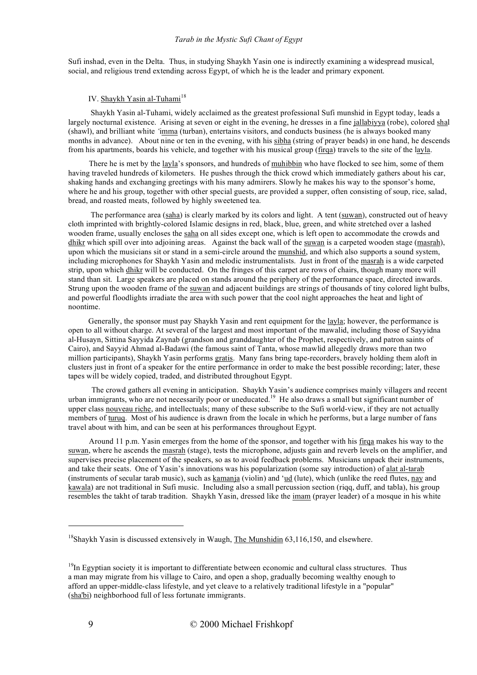Sufi inshad, even in the Delta. Thus, in studying Shaykh Yasin one is indirectly examining a widespread musical, social, and religious trend extending across Egypt, of which he is the leader and primary exponent.

# IV. <u>Shaykh Yasin al-Tuhami<sup>18</sup></u>

Shaykh Yasin al-Tuhami, widely acclaimed as the greatest professional Sufi munshid in Egypt today, leads a largely nocturnal existence. Arising at seven or eight in the evening, he dresses in a fine jallabiyya (robe), colored shal (shawl), and brilliant white *'*imma (turban), entertains visitors, and conducts business (he is always booked many months in advance). About nine or ten in the evening, with his sibha (string of prayer beads) in one hand, he descends from his apartments, boards his vehicle, and together with his musical group (firqa) travels to the site of the layla.

There he is met by the layla's sponsors, and hundreds of muhibbin who have flocked to see him, some of them having traveled hundreds of kilometers. He pushes through the thick crowd which immediately gathers about his car, shaking hands and exchanging greetings with his many admirers. Slowly he makes his way to the sponsor's home, where he and his group, together with other special guests, are provided a supper, often consisting of soup, rice, salad, bread, and roasted meats, followed by highly sweetened tea.

The performance area (saha) is clearly marked by its colors and light. A tent (suwan), constructed out of heavy cloth imprinted with brightly-colored Islamic designs in red, black, blue, green, and white stretched over a lashed wooden frame, usually encloses the saha on all sides except one, which is left open to accommodate the crowds and dhikr which spill over into adjoining areas. Against the back wall of the suwan is a carpeted wooden stage (masrah), upon which the musicians sit or stand in a semi-circle around the munshid, and which also supports a sound system, including microphones for Shaykh Yasin and melodic instrumentalists. Just in front of the masrah is a wide carpeted strip, upon which dhikr will be conducted. On the fringes of this carpet are rows of chairs, though many more will stand than sit. Large speakers are placed on stands around the periphery of the performance space, directed inwards. Strung upon the wooden frame of the suwan and adjacent buildings are strings of thousands of tiny colored light bulbs, and powerful floodlights irradiate the area with such power that the cool night approaches the heat and light of noontime.

Generally, the sponsor must pay Shaykh Yasin and rent equipment for the layla; however, the performance is open to all without charge. At several of the largest and most important of the mawalid, including those of Sayyidna al-Husayn, Sittina Sayyida Zaynab (grandson and granddaughter of the Prophet, respectively, and patron saints of Cairo), and Sayyid Ahmad al-Badawi (the famous saint of Tanta, whose mawlid allegedly draws more than two million participants), Shaykh Yasin performs gratis. Many fans bring tape-recorders, bravely holding them aloft in clusters just in front of a speaker for the entire performance in order to make the best possible recording; later, these tapes will be widely copied, traded, and distributed throughout Egypt.

The crowd gathers all evening in anticipation. Shaykh Yasin's audience comprises mainly villagers and recent urban immigrants, who are not necessarily poor or uneducated.<sup>19</sup> He also draws a small but significant number of upper class nouveau riche, and intellectuals; many of these subscribe to the Sufi world-view, if they are not actually members of turuq. Most of his audience is drawn from the locale in which he performs, but a large number of fans travel about with him, and can be seen at his performances throughout Egypt.

Around 11 p.m. Yasin emerges from the home of the sponsor, and together with his firqa makes his way to the suwan, where he ascends the masrah (stage), tests the microphone, adjusts gain and reverb levels on the amplifier, and supervises precise placement of the speakers, so as to avoid feedback problems. Musicians unpack their instruments, and take their seats. One of Yasin's innovations was his popularization (some say introduction) of alat al-tarab (instruments of secular tarab music), such as  $kamania$  (violin) and 'ud (lute), which (unlike the reed flutes, nay and kawala) are not traditional in Sufi music. Including also a small percussion section (riqq, duff, and tabla), his group resembles the takht of tarab tradition. Shaykh Yasin, dressed like the imam (prayer leader) of a mosque in his white

<sup>&</sup>lt;sup>18</sup>Shaykh Yasin is discussed extensively in Waugh, The Munshidin  $63,116,150$ , and elsewhere.

<sup>&</sup>lt;sup>19</sup>In Egyptian society it is important to differentiate between economic and cultural class structures. Thus a man may migrate from his village to Cairo, and open a shop, gradually becoming wealthy enough to afford an upper-middle-class lifestyle, and yet cleave to a relatively traditional lifestyle in a "popular" (sha'bi) neighborhood full of less fortunate immigrants.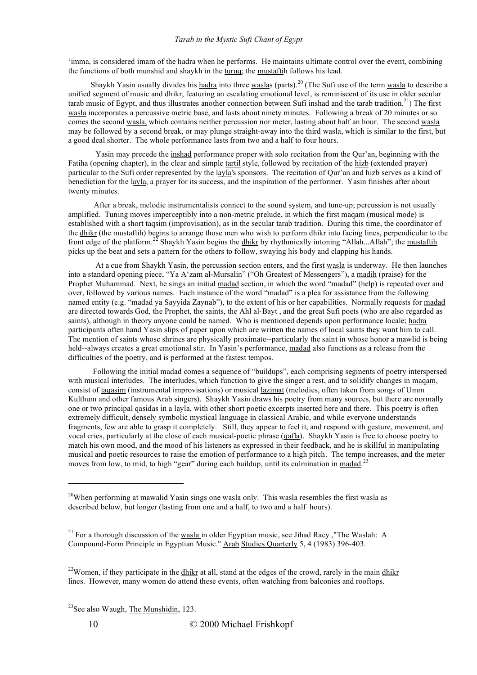'imma, is considered imam of the hadra when he performs. He maintains ultimate control over the event, combining the functions of both munshid and shaykh in the turuq; the mustaftih follows his lead.

Shaykh Yasin usually divides his hadra into three waslas (parts).<sup>20</sup> (The Sufi use of the term wasla to describe a unified segment of music and dhikr, featuring an escalating emotional level, is reminiscent of its use in older secular tarab music of Egypt, and thus illustrates another connection between Sufi inshad and the tarab tradition.<sup>21</sup>) The first wasla incorporates a percussive metric base, and lasts about ninety minutes. Following a break of 20 minutes or so comes the second wasla, which contains neither percussion nor meter, lasting about half an hour. The second wasla may be followed by a second break, or may plunge straight-away into the third wasla, which is similar to the first, but a good deal shorter. The whole performance lasts from two and a half to four hours.

Yasin may precede the inshad performance proper with solo recitation from the Qur'an, beginning with the Fatiha (opening chapter), in the clear and simple tartil style, followed by recitation of the hizb (extended prayer) particular to the Sufi order represented by the layla's sponsors. The recitation of Qur'an and hizb serves as a kind of benediction for the layla, a prayer for its success, and the inspiration of the performer. Yasin finishes after about twenty minutes.

After a break, melodic instrumentalists connect to the sound system, and tune-up; percussion is not usually amplified. Tuning moves imperceptibly into a non-metric prelude, in which the first maqam (musical mode) is established with a short taqsim (improvisation), as in the secular tarab tradition. During this time, the coordinator of the dhikr (the mustaftih) begins to arrange those men who wish to perform dhikr into facing lines, perpendicular to the front edge of the platform.<sup>22</sup> Shaykh Yasin begins the dhikr by rhythmically intoning "Allah...Allah"; the mustaftih picks up the beat and sets a pattern for the others to follow, swaying his body and clapping his hands.

At a cue from Shaykh Yasin, the percussion section enters, and the first wasla is underway. He then launches into a standard opening piece, "Ya A'zam al-Mursalin" ("Oh Greatest of Messengers"), a madih (praise) for the Prophet Muhammad. Next, he sings an initial madad section, in which the word "madad" (help) is repeated over and over, followed by various names. Each instance of the word "madad" is a plea for assistance from the following named entity (e.g. "madad ya Sayyida Zaynab"), to the extent of his or her capabilities. Normally requests for madad are directed towards God, the Prophet, the saints, the Ahl al-Bayt , and the great Sufi poets (who are also regarded as saints), although in theory anyone could be named. Who is mentioned depends upon performance locale; hadra participants often hand Yasin slips of paper upon which are written the names of local saints they want him to call. The mention of saints whose shrines are physically proximate--particularly the saint in whose honor a mawlid is being held--always creates a great emotional stir. In Yasin's performance, madad also functions as a release from the difficulties of the poetry, and is performed at the fastest tempos.

Following the initial madad comes a sequence of "buildups", each comprising segments of poetry interspersed with musical interludes. The interludes, which function to give the singer a rest, and to solidify changes in maqam, consist of <u>taqasim</u> (instrumental improvisations) or musical <u>lazimat</u> (melodies, often taken from songs of Umm Kulthum and other famous Arab singers). Shaykh Yasin draws his poetry from many sources, but there are normally one or two principal qasidas in a layla, with other short poetic excerpts inserted here and there. This poetry is often extremely difficult, densely symbolic mystical language in classical Arabic, and while everyone understands fragments, few are able to grasp it completely. Still, they appear to feel it, and respond with gesture, movement, and vocal cries, particularly at the close of each musical-poetic phrase (qafla). Shaykh Yasin is free to choose poetry to match his own mood, and the mood of his listeners as expressed in their feedback, and he is skillful in manipulating musical and poetic resources to raise the emotion of performance to a high pitch. The tempo increases, and the meter moves from low, to mid, to high "gear" during each buildup, until its culmination in madad.<sup>23</sup>

<sup>&</sup>lt;sup>20</sup>When performing at mawalid Yasin sings one wasla only. This wasla resembles the first wasla as described below, but longer (lasting from one and a half, to two and a half hours).

<sup>&</sup>lt;sup>21</sup> For a thorough discussion of the <u>wasla</u> in older Egyptian music, see Jihad Racy , "The Waslah: A Compound-Form Principle in Egyptian Music." Arab Studies Quarterly 5, 4 (1983) 396-403.

 $22$ Women, if they participate in the  $\frac{dhikr}{dt}$  at all, stand at the edges of the crowd, rarely in the main  $\frac{dhikr}{dt}$ lines. However, many women do attend these events, often watching from balconies and rooftops.

<sup>&</sup>lt;sup>23</sup>See also Waugh, The Munshidin, 123.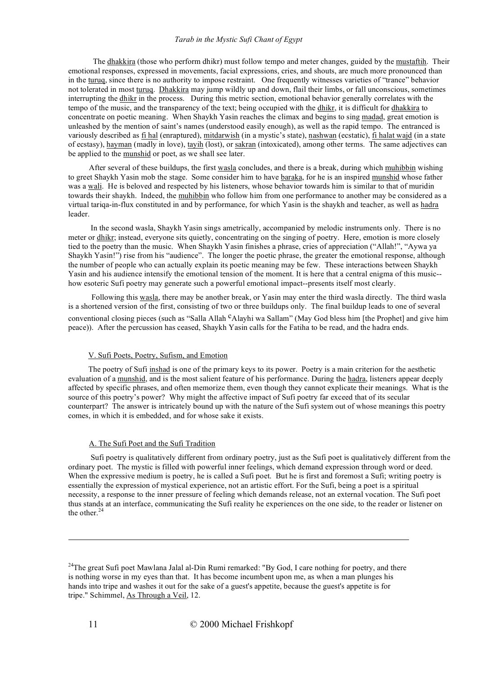The dhakkira (those who perform dhikr) must follow tempo and meter changes, guided by the mustaftih. Their emotional responses, expressed in movements, facial expressions, cries, and shouts, are much more pronounced than in the turuq, since there is no authority to impose restraint. One frequently witnesses varieties of "trance" behavior not tolerated in most turuq. Dhakkira may jump wildly up and down, flail their limbs, or fall unconscious, sometimes interrupting the dhikr in the process. During this metric section, emotional behavior generally correlates with the tempo of the music, and the transparency of the text; being occupied with the dhikr, it is difficult for dhakkira to concentrate on poetic meaning. When Shaykh Yasin reaches the climax and begins to sing madad, great emotion is unleashed by the mention of saint's names (understood easily enough), as well as the rapid tempo. The entranced is variously described as fi hal (enraptured), mitdarwish (in a mystic's state), nashwan (ecstatic), fi halat wajd (in a state of ecstasy), hayman (madly in love), tayih (lost), or sakran (intoxicated), among other terms. The same adjectives can be applied to the munshid or poet, as we shall see later.

After several of these buildups, the first wasla concludes, and there is a break, during which muhibbin wishing to greet Shaykh Yasin mob the stage. Some consider him to have baraka, for he is an inspired munshid whose father was a wali. He is beloved and respected by his listeners, whose behavior towards him is similar to that of muridin towards their shaykh. Indeed, the muhibbin who follow him from one performance to another may be considered as a virtual tariqa-in-flux constituted in and by performance, for which Yasin is the shaykh and teacher, as well as hadra leader.

In the second wasla, Shaykh Yasin sings ametrically, accompanied by melodic instruments only. There is no meter or dhikr; instead, everyone sits quietly, concentrating on the singing of poetry. Here, emotion is more closely tied to the poetry than the music. When Shaykh Yasin finishes a phrase, cries of appreciation ("Allah!", "Aywa ya Shaykh Yasin!") rise from his "audience". The longer the poetic phrase, the greater the emotional response, although the number of people who can actually explain its poetic meaning may be few. These interactions between Shaykh Yasin and his audience intensify the emotional tension of the moment. It is here that a central enigma of this music- how esoteric Sufi poetry may generate such a powerful emotional impact--presents itself most clearly.

Following this wasla, there may be another break, or Yasin may enter the third wasla directly. The third wasla is a shortened version of the first, consisting of two or three buildups only. The final buildup leads to one of several conventional closing pieces (such as "Salla Allah <sup>c</sup>Alayhi wa Sallam" (May God bless him [the Prophet] and give him peace)). After the percussion has ceased, Shaykh Yasin calls for the Fatiha to be read, and the hadra ends.

#### V. Sufi Poets, Poetry, Sufism, and Emotion

The poetry of Sufi inshad is one of the primary keys to its power. Poetry is a main criterion for the aesthetic evaluation of a munshid, and is the most salient feature of his performance. During the hadra, listeners appear deeply affected by specific phrases, and often memorize them, even though they cannot explicate their meanings. What is the source of this poetry's power? Why might the affective impact of Sufi poetry far exceed that of its secular counterpart? The answer is intricately bound up with the nature of the Sufi system out of whose meanings this poetry comes, in which it is embedded, and for whose sake it exists.

#### A. The Sufi Poet and the Sufi Tradition

Sufi poetry is qualitatively different from ordinary poetry, just as the Sufi poet is qualitatively different from the ordinary poet. The mystic is filled with powerful inner feelings, which demand expression through word or deed. When the expressive medium is poetry, he is called a Sufi poet. But he is first and foremost a Sufi; writing poetry is essentially the expression of mystical experience, not an artistic effort. For the Sufi, being a poet is a spiritual necessity, a response to the inner pressure of feeling which demands release, not an external vocation. The Sufi poet thus stands at an interface, communicating the Sufi reality he experiences on the one side, to the reader or listener on the other. 24

1

<sup>&</sup>lt;sup>24</sup>The great Sufi poet Mawlana Jalal al-Din Rumi remarked: "By God, I care nothing for poetry, and there is nothing worse in my eyes than that. It has become incumbent upon me, as when a man plunges his hands into tripe and washes it out for the sake of a guest's appetite, because the guest's appetite is for tripe." Schimmel, As Through a Veil, 12.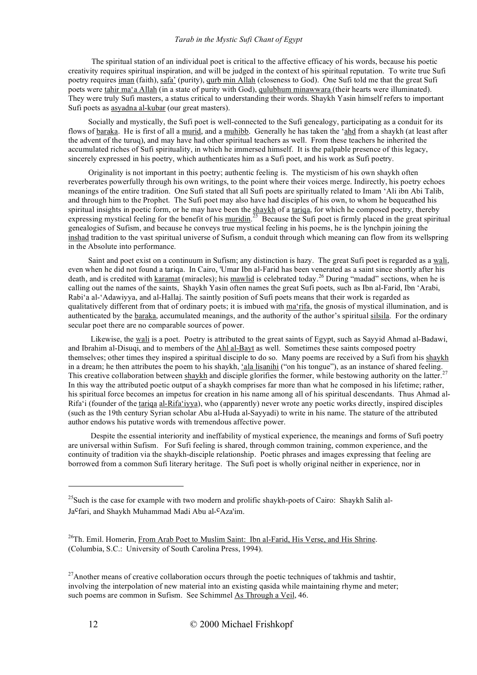The spiritual station of an individual poet is critical to the affective efficacy of his words, because his poetic creativity requires spiritual inspiration, and will be judged in the context of his spiritual reputation. To write true Sufi poetry requires iman (faith), safa' (purity), qurb min Allah (closeness to God). One Sufi told me that the great Sufi poets were tahir ma'a Allah (in a state of purity with God), qulubhum minawwara (their hearts were illuminated). They were truly Sufi masters, a status critical to understanding their words. Shaykh Yasin himself refers to important Sufi poets as asyadna al-kubar (our great masters).

Socially and mystically, the Sufi poet is well-connected to the Sufi genealogy, participating as a conduit for its flows of baraka. He is first of all a murid, and a muhibb. Generally he has taken the 'ahd from a shaykh (at least after the advent of the turuq), and may have had other spiritual teachers as well. From these teachers he inherited the accumulated riches of Sufi spirituality, in which he immersed himself. It is the palpable presence of this legacy, sincerely expressed in his poetry, which authenticates him as a Sufi poet, and his work as Sufi poetry.

Originality is not important in this poetry; authentic feeling is. The mysticism of his own shaykh often reverberates powerfully through his own writings, to the point where their voices merge. Indirectly, his poetry echoes meanings of the entire tradition. One Sufi stated that all Sufi poets are spiritually related to Imam 'Ali ibn Abi Talib, and through him to the Prophet. The Sufi poet may also have had disciples of his own, to whom he bequeathed his spiritual insights in poetic form, or he may have been the shaykh of a tariqa, for which he composed poetry, thereby expressing mystical feeling for the benefit of his muridin.<sup>25</sup> Because the Sufi poet is firmly placed in the great spiritual genealogies of Sufism, and because he conveys true mystical feeling in his poems, he is the lynchpin joining the inshad tradition to the vast spiritual universe of Sufism, a conduit through which meaning can flow from its wellspring in the Absolute into performance.

Saint and poet exist on a continuum in Sufism; any distinction is hazy. The great Sufi poet is regarded as a wali, even when he did not found a tariqa. In Cairo, 'Umar Ibn al-Farid has been venerated as a saint since shortly after his death, and is credited with karamat (miracles); his mawlid is celebrated today.<sup>26</sup> During "madad" sections, when he is calling out the names of the saints, Shaykh Yasin often names the great Sufi poets, such as Ibn al-Farid, Ibn 'Arabi, Rabi'a al-'Adawiyya, and al-Hallaj. The saintly position of Sufi poets means that their work is regarded as qualitatively different from that of ordinary poets; it is imbued with ma'rifa, the gnosis of mystical illumination, and is authenticated by the **baraka**, accumulated meanings, and the authority of the author's spiritual silsila. For the ordinary secular poet there are no comparable sources of power.

Likewise, the wali is a poet. Poetry is attributed to the great saints of Egypt, such as Sayyid Ahmad al-Badawi, and Ibrahim al-Disuqi, and to members of the Ahl al-Bayt as well. Sometimes these saints composed poetry themselves; other times they inspired a spiritual disciple to do so. Many poems are received by a Sufi from his shaykh in a dream; he then attributes the poem to his shaykh, 'ala lisanihi ("on his tongue"), as an instance of shared feeling. This creative collaboration between shaykh and disciple glorifies the former, while bestowing authority on the latter.<sup>27</sup> In this way the attributed poetic output of a shaykh comprises far more than what he composed in his lifetime; rather, his spiritual force becomes an impetus for creation in his name among all of his spiritual descendants. Thus Ahmad al-Rifa'i (founder of the tariqa al-Rifa'iyya), who (apparently) never wrote any poetic works directly, inspired disciples (such as the 19th century Syrian scholar Abu al-Huda al-Sayyadi) to write in his name. The stature of the attributed author endows his putative words with tremendous affective power.

Despite the essential interiority and ineffability of mystical experience, the meanings and forms of Sufi poetry are universal within Sufism. For Sufi feeling is shared, through common training, common experience, and the continuity of tradition via the shaykh-disciple relationship. Poetic phrases and images expressing that feeling are borrowed from a common Sufi literary heritage. The Sufi poet is wholly original neither in experience, nor in

 $^{25}$ Such is the case for example with two modern and prolific shaykh-poets of Cairo: Shaykh Salih al-Ja<sup>c</sup>fari, and Shaykh Muhammad Madi Abu al-<sup>c</sup>Aza'im.

<sup>&</sup>lt;sup>26</sup>Th. Emil. Homerin, From Arab Poet to Muslim Saint: Ibn al-Farid, His Verse, and His Shrine. (Columbia, S.C.: University of South Carolina Press, 1994).

<sup>&</sup>lt;sup>27</sup> Another means of creative collaboration occurs through the poetic techniques of takhmis and tashtir, involving the interpolation of new material into an existing qasida while maintaining rhyme and meter; such poems are common in Sufism. See Schimmel As Through a Veil, 46.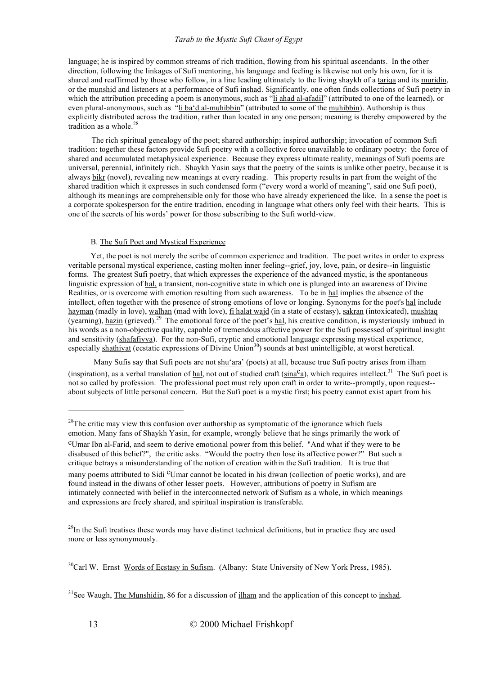language; he is inspired by common streams of rich tradition, flowing from his spiritual ascendants. In the other direction, following the linkages of Sufi mentoring, his language and feeling is likewise not only his own, for it is shared and reaffirmed by those who follow, in a line leading ultimately to the living shaykh of a tariqa and its muridin, or the munshid and listeners at a performance of Sufi inshad. Significantly, one often finds collections of Sufi poetry in which the attribution preceding a poem is anonymous, such as "li ahad al-afadil" (attributed to one of the learned), or even plural-anonymous, such as "li ba'd al-muhibbin" (attributed to some of the muhibbin). Authorship is thus explicitly distributed across the tradition, rather than located in any one person; meaning is thereby empowered by the tradition as a whole. 28

The rich spiritual genealogy of the poet; shared authorship; inspired authorship; invocation of common Sufi tradition: together these factors provide Sufi poetry with a collective force unavailable to ordinary poetry: the force of shared and accumulated metaphysical experience. Because they express ultimate reality, meanings of Sufi poems are universal, perennial, infinitely rich. Shaykh Yasin says that the poetry of the saints is unlike other poetry, because it is always bikt (novel), revealing new meanings at every reading. This property results in part from the weight of the shared tradition which it expresses in such condensed form ("every word a world of meaning", said one Sufi poet), although its meanings are comprehensible only for those who have already experienced the like. In a sense the poet is a corporate spokesperson for the entire tradition, encoding in language what others only feel with their hearts. This is one of the secrets of his words' power for those subscribing to the Sufi world-view.

## B. The Sufi Poet and Mystical Experience

Yet, the poet is not merely the scribe of common experience and tradition. The poet writes in order to express veritable personal mystical experience, casting molten inner feeling--grief, joy, love, pain, or desire--in linguistic forms. The greatest Sufi poetry, that which expresses the experience of the advanced mystic, is the spontaneous linguistic expression of hal, a transient, non-cognitive state in which one is plunged into an awareness of Divine Realities, or is overcome with emotion resulting from such awareness. To be in hal implies the absence of the intellect, often together with the presence of strong emotions of love or longing. Synonyms for the poet's hal include hayman (madly in love), walhan (mad with love), fi halat wajd (in a state of ecstasy), sakran (intoxicated), mushtaq (yearning), hazin (grieved).<sup>29</sup> The emotional force of the poet's hal, his creative condition, is mysteriously imbued in his words as a non-objective quality, capable of tremendous affective power for the Sufi possessed of spiritual insight and sensitivity (shafafiyya). For the non-Sufi, cryptic and emotional language expressing mystical experience, especially shathiyat (ecstatic expressions of Divine Union<sup>30</sup>) sounds at best unintelligible, at worst heretical.

Many Sufis say that Sufi poets are not shu'ara' (poets) at all, because true Sufi poetry arises from ilham (inspiration), as a verbal translation of hal, not out of studied craft ( $\sin^2\theta$ ), which requires intellect.<sup>31</sup> The Sufi poet is not so called by profession. The professional poet must rely upon craft in order to write--promptly, upon request-about subjects of little personal concern. But the Sufi poet is a mystic first; his poetry cannot exist apart from his

<sup>29</sup>In the Sufi treatises these words may have distinct technical definitions, but in practice they are used more or less synonymously.

<sup>30</sup>Carl W. Ernst Words of Ecstasy in Sufism. (Albany: State University of New York Press, 1985).

 $31$ See Waugh, The Munshidin, 86 for a discussion of ilham and the application of this concept to inshad.

 $2<sup>28</sup>$ The critic may view this confusion over authorship as symptomatic of the ignorance which fuels emotion. Many fans of Shaykh Yasin, for example, wrongly believe that he sings primarily the work of cUmar Ibn al-Farid, and seem to derive emotional power from this belief. "And what if they were to be disabused of this belief?", the critic asks. "Would the poetry then lose its affective power?" But such a critique betrays a misunderstanding of the notion of creation within the Sufi tradition. It is true that many poems attributed to Sidi <sup>c</sup>Umar cannot be located in his diwan (collection of poetic works), and are found instead in the diwans of other lesser poets. However, attributions of poetry in Sufism are intimately connected with belief in the interconnected network of Sufism as a whole, in which meanings and expressions are freely shared, and spiritual inspiration is transferable.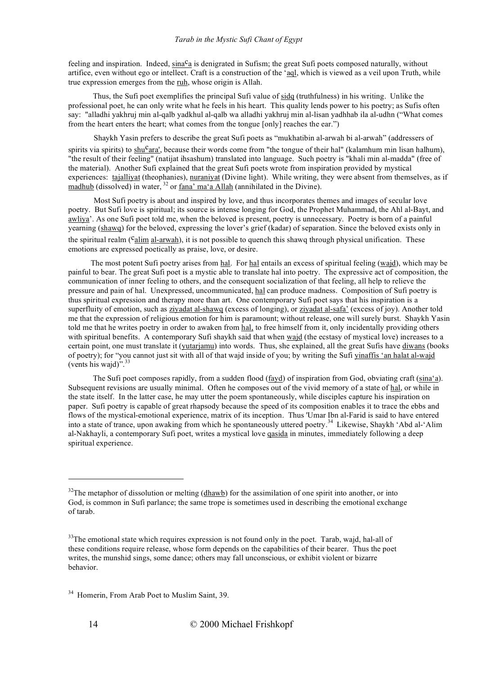feeling and inspiration. Indeed,  $\sin^2\theta$  is denigrated in Sufism; the great Sufi poets composed naturally, without artifice, even without ego or intellect. Craft is a construction of the 'aql, which is viewed as a veil upon Truth, while true expression emerges from the ruh, whose origin is Allah.

Thus, the Sufi poet exemplifies the principal Sufi value of sidq (truthfulness) in his writing. Unlike the professional poet, he can only write what he feels in his heart. This quality lends power to his poetry; as Sufis often say: "alladhi yakhruj min al-qalb yadkhul al-qalb wa alladhi yakhruj min al-lisan yadhhab ila al-udhn ("What comes from the heart enters the heart; what comes from the tongue [only] reaches the ear.")

Shaykh Yasin prefers to describe the great Sufi poets as "mukhatibin al-arwah bi al-arwah" (addressers of spirits via spirits) to shu<sup>c</sup>ara', because their words come from "the tongue of their hal" (kalamhum min lisan halhum), "the result of their feeling" (natijat ihsashum) translated into language. Such poetry is "khali min al-madda" (free of the material). Another Sufi explained that the great Sufi poets wrote from inspiration provided by mystical experiences: tajalliyat (theophanies), nuraniyat (Divine light). While writing, they were absent from themselves, as if madhub (dissolved) in water, <sup>32</sup> or <u>fana' ma'a Allah</u> (annihilated in the Divine).

Most Sufi poetry is about and inspired by love, and thus incorporates themes and images of secular love poetry. But Sufi love is spiritual; its source is intense longing for God, the Prophet Muhammad, the Ahl al-Bayt, and awliya'. As one Sufi poet told me, when the beloved is present, poetry is unnecessary. Poetry is born of a painful yearning (shawq) for the beloved, expressing the lover's grief (kadar) of separation. Since the beloved exists only in the spiritual realm ( $\alpha$ lim al-arwah), it is not possible to quench this shawq through physical unification. These emotions are expressed poetically as praise, love, or desire.

The most potent Sufi poetry arises from hal. For hal entails an excess of spiritual feeling (wajd), which may be painful to bear. The great Sufi poet is a mystic able to translate hal into poetry. The expressive act of composition, the communication of inner feeling to others, and the consequent socialization of that feeling, all help to relieve the pressure and pain of hal. Unexpressed, uncommunicated, hal can produce madness. Composition of Sufi poetry is thus spiritual expression and therapy more than art. One contemporary Sufi poet says that his inspiration is a superfluity of emotion, such as ziyadat al-shawq (excess of longing), or ziyadat al-safa' (excess of joy). Another told me that the expression of religious emotion for him is paramount; without release, one will surely burst. Shaykh Yasin told me that he writes poetry in order to awaken from hal, to free himself from it, only incidentally providing others with spiritual benefits. A contemporary Sufi shaykh said that when wajd (the ecstasy of mystical love) increases to a certain point, one must translate it (yutarjamu) into words. Thus, she explained, all the great Sufis have diwans (books of poetry); for "you cannot just sit with all of that wajd inside of you; by writing the Sufi yinaffis 'an halat al-wajd (vents his wajd)". 33

The Sufi poet composes rapidly, from a sudden flood (fayd) of inspiration from God, obviating craft (sina'a). Subsequent revisions are usually minimal. Often he composes out of the vivid memory of a state of hal, or while in the state itself. In the latter case, he may utter the poem spontaneously, while disciples capture his inspiration on paper. Sufi poetry is capable of great rhapsody because the speed of its composition enables it to trace the ebbs and flows of the mystical-emotional experience, matrix of its inception. Thus 'Umar Ibn al-Farid is said to have entered into a state of trance, upon awaking from which he spontaneously uttered poetry.<sup>34</sup> Likewise, Shaykh 'Abd al-'Alim al-Nakhayli, a contemporary Sufi poet, writes a mystical love qasida in minutes, immediately following a deep spiritual experience.

 $32$ The metaphor of dissolution or melting ( $d$ hawb) for the assimilation of one spirit into another, or into God, is common in Sufi parlance; the same trope is sometimes used in describing the emotional exchange of tarab.

<sup>&</sup>lt;sup>33</sup>The emotional state which requires expression is not found only in the poet. Tarab, wajd, hal-all of these conditions require release, whose form depends on the capabilities of their bearer. Thus the poet writes, the munshid sings, some dance; others may fall unconscious, or exhibit violent or bizarre behavior.

<sup>&</sup>lt;sup>34</sup> Homerin, From Arab Poet to Muslim Saint, 39.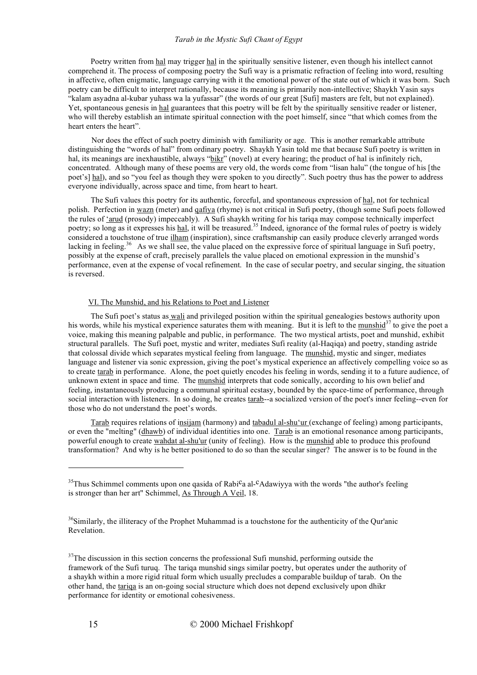Poetry written from hal may trigger hal in the spiritually sensitive listener, even though his intellect cannot comprehend it. The process of composing poetry the Sufi way is a prismatic refraction of feeling into word, resulting in affective, often enigmatic, language carrying with it the emotional power of the state out of which it was born. Such poetry can be difficult to interpret rationally, because its meaning is primarily non-intellective; Shaykh Yasin says "kalam asyadna al-kubar yuhass wa la yufassar" (the words of our great [Sufi] masters are felt, but not explained). Yet, spontaneous genesis in hal guarantees that this poetry will be felt by the spiritually sensitive reader or listener, who will thereby establish an intimate spiritual connection with the poet himself, since "that which comes from the heart enters the heart".

Nor does the effect of such poetry diminish with familiarity or age. This is another remarkable attribute distinguishing the "words of hal" from ordinary poetry. Shaykh Yasin told me that because Sufi poetry is written in hal, its meanings are inexhaustible, always "bikr" (novel) at every hearing; the product of hal is infinitely rich, concentrated. Although many of these poems are very old, the words come from "lisan halu" (the tongue of his [the poet's] hal), and so "you feel as though they were spoken to you directly". Such poetry thus has the power to address everyone individually, across space and time, from heart to heart.

The Sufi values this poetry for its authentic, forceful, and spontaneous expression of hal, not for technical polish. Perfection in wazn (meter) and qafiya (rhyme) is not critical in Sufi poetry, (though some Sufi poets followed the rules of 'arud (prosody) impeccably). A Sufi shaykh writing for his tariqa may compose technically imperfect poetry; so long as it expresses his hal, it will be treasured.<sup>35</sup> Indeed, ignorance of the formal rules of poetry is widely considered a touchstone of true ilham (inspiration), since craftsmanship can easily produce cleverly arranged words lacking in feeling.<sup>36</sup> As we shall see, the value placed on the expressive force of spiritual language in Sufi poetry, possibly at the expense of craft, precisely parallels the value placed on emotional expression in the munshid's performance, even at the expense of vocal refinement. In the case of secular poetry, and secular singing, the situation is reversed.

## VI. The Munshid, and his Relations to Poet and Listener

The Sufi poet's status as wali and privileged position within the spiritual genealogies bestows authority upon his words, while his mystical experience saturates them with meaning. But it is left to the munshid<sup>37</sup> to give the poet a voice, making this meaning palpable and public, in performance. The two mystical artists, poet and munshid, exhibit structural parallels. The Sufi poet, mystic and writer, mediates Sufi reality (al-Haqiqa) and poetry, standing astride that colossal divide which separates mystical feeling from language. The munshid, mystic and singer, mediates language and listener via sonic expression, giving the poet's mystical experience an affectively compelling voice so as to create tarab in performance. Alone, the poet quietly encodes his feeling in words, sending it to a future audience, of unknown extent in space and time. The munshid interprets that code sonically, according to his own belief and feeling, instantaneously producing a communal spiritual ecstasy, bounded by the space-time of performance, through social interaction with listeners. In so doing, he creates tarab--a socialized version of the poet's inner feeling--even for those who do not understand the poet's words.

Tarab requires relations of insijam (harmony) and tabadul al-shu'ur (exchange of feeling) among participants, or even the "melting" (dhawb) of individual identities into one. Tarab is an emotional resonance among participants, powerful enough to create wahdat al-shu'ur (unity of feeling). How is the munshid able to produce this profound transformation? And why is he better positioned to do so than the secular singer? The answer is to be found in the

<sup>&</sup>lt;sup>35</sup>Thus Schimmel comments upon one qasida of Rabi<sup>c</sup>a al-<sup>c</sup>Adawiyya with the words "the author's feeling is stronger than her art" Schimmel, As Through A Veil, 18.

<sup>&</sup>lt;sup>36</sup>Similarly, the illiteracy of the Prophet Muhammad is a touchstone for the authenticity of the Qur'anic Revelation.

 $37$ The discussion in this section concerns the professional Sufi munshid, performing outside the framework of the Sufi turuq. The tariqa munshid sings similar poetry, but operates under the authority of a shaykh within a more rigid ritual form which usually precludes a comparable buildup of tarab. On the other hand, the tariqa is an on-going social structure which does not depend exclusively upon dhikr performance for identity or emotional cohesiveness.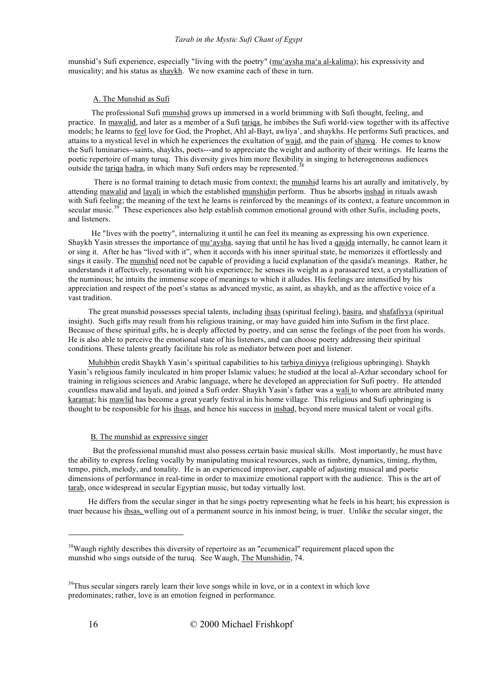munshid's Sufi experience, especially "living with the poetry" (mu'aysha ma'a al-kalima); his expressivity and musicality; and his status as shaykh. We now examine each of these in turn.

#### A. The Munshid as Sufi

The professional Sufi munshid grows up immersed in a world brimming with Sufi thought, feeling, and practice. In mawalid, and later as a member of a Sufi tariqa, he imbibes the Sufi world-view together with its affective models; he learns to feel love for God, the Prophet, Ahl al-Bayt, awliya', and shaykhs. He performs Sufi practices, and attains to a mystical level in which he experiences the exultation of wajd, and the pain of shawq. He comes to know the Sufi luminaries--saints, shaykhs, poets---and to appreciate the weight and authority of their writings. He learns the poetic repertoire of many turuq. This diversity gives him more flexibility in singing to heterogeneous audiences outside the tariqa hadra, in which many Sufi orders may be represented.<sup>38</sup>

There is no formal training to detach music from context; the munshid learns his art aurally and imitatively, by attending mawalid and layali in which the established munshidin perform. Thus he absorbs inshad in rituals awash with Sufi feeling; the meaning of the text he learns is reinforced by the meanings of its context, a feature uncommon in secular music.<sup>39</sup> These experiences also help establish common emotional ground with other Sufis, including poets, and listeners.

He "lives with the poetry", internalizing it until he can feel its meaning as expressing his own experience. Shaykh Yasin stresses the importance of mu'aysha, saying that until he has lived a qasida internally, he cannot learn it or sing it. After he has "lived with it", when it accords with his inner spiritual state, he memorizes it effortlessly and sings it easily. The munshid need not be capable of providing a lucid explanation of the qasida's meanings. Rather, he understands it affectively, resonating with his experience; he senses its weight as a parasacred text, a crystallization of the numinous; he intuits the immense scope of meanings to which it alludes. His feelings are intensified by his appreciation and respect of the poet's status as advanced mystic, as saint, as shaykh, and as the affective voice of a vast tradition.

The great munshid possesses special talents, including ihsas (spiritual feeling), basira, and shafafiyya (spiritual insight). Such gifts may result from his religious training, or may have guided him into Sufism in the first place. Because of these spiritual gifts, he is deeply affected by poetry, and can sense the feelings of the poet from his words. He is also able to perceive the emotional state of his listeners, and can choose poetry addressing their spiritual conditions. These talents greatly facilitate his role as mediator between poet and listener.

Muhibbin credit Shaykh Yasin's spiritual capabilities to his tarbiya diniyya (religious upbringing). Shaykh Yasin's religious family inculcated in him proper Islamic values; he studied at the local al-Azhar secondary school for training in religious sciences and Arabic language, where he developed an appreciation for Sufi poetry. He attended countless mawalid and layali, and joined a Sufi order. Shaykh Yasin's father was a wali to whom are attributed many karamat; his mawlid has become a great yearly festival in his home village. This religious and Sufi upbringing is thought to be responsible for his ihsas, and hence his success in inshad, beyond mere musical talent or vocal gifts.

## B. The munshid as expressive singer

But the professional munshid must also possess certain basic musical skills. Most importantly, he must have the ability to express feeling vocally by manipulating musical resources, such as timbre, dynamics, timing, rhythm, tempo, pitch, melody, and tonality. He is an experienced improviser, capable of adjusting musical and poetic dimensions of performance in real-time in order to maximize emotional rapport with the audience. This is the art of tarab, once widespread in secular Egyptian music, but today virtually lost.

He differs from the secular singer in that he sings poetry representing what he feels in his heart; his expression is truer because his ihsas, welling out of a permanent source in his inmost being, is truer. Unlike the secular singer, the

<sup>&</sup>lt;sup>38</sup>Waugh rightly describes this diversity of repertoire as an "ecumenical" requirement placed upon the munshid who sings outside of the turuq. See Waugh, The Munshidin, 74.

 $39$ Thus secular singers rarely learn their love songs while in love, or in a context in which love predominates; rather, love is an emotion feigned in performance.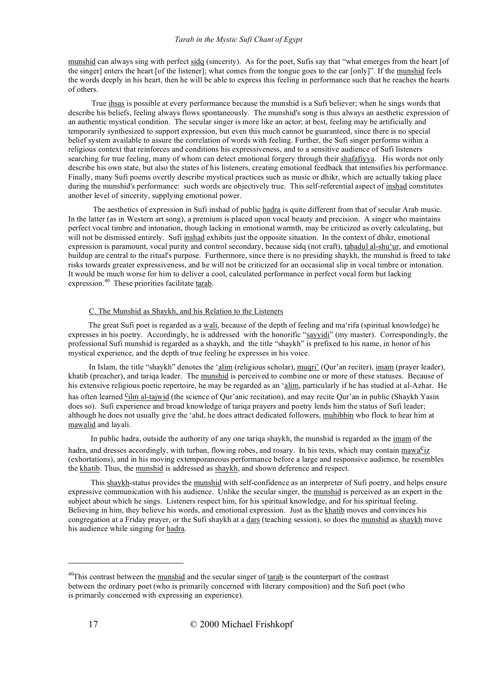munshid can always sing with perfect sidq (sincerity). As for the poet, Sufis say that "what emerges from the heart [of the singer] enters the heart [of the listener]; what comes from the tongue goes to the ear [only]". If the munshid feels the words deeply in his heart, then he will be able to express this feeling in performance such that he reaches the hearts of others.

True ihsas is possible at every performance because the munshid is a Sufi believer; when he sings words that describe his beliefs, feeling always flows spontaneously. The munshid's song is thus always an aesthetic expression of an authentic mystical condition. The secular singer is more like an actor; at best, feeling may be artificially and temporarily synthesized to support expression, but even this much cannot be guaranteed, since there is no special belief system available to assure the correlation of words with feeling. Further, the Sufi singer performs within a religious context that reinforces and conditions his expressiveness, and to a sensitive audience of Sufi listeners searching for true feeling, many of whom can detect emotional forgery through their shafafiyya. His words not only describe his own state, but also the states of his listeners, creating emotional feedback that intensifies his performance. Finally, many Sufi poems overtly describe mystical practices such as music or dhikr, which are actually taking place during the munshid's performance: such words are objectively true. This self-referential aspect of inshad constitutes another level of sincerity, supplying emotional power.

The aesthetics of expression in Sufi inshad of public hadra is quite different from that of secular Arab music. In the latter (as in Western art song), a premium is placed upon vocal beauty and precision. A singer who maintains perfect vocal timbre and intonation, though lacking in emotional warmth, may be criticized as overly calculating, but will not be dismissed entirely. Sufi inshad exhibits just the opposite situation. In the context of dhikr, emotional expression is paramount, vocal purity and control secondary, because sidq (not craft), tabadul al-shu'ur, and emotional buildup are central to the ritual's purpose. Furthermore, since there is no presiding shaykh, the munshid is freed to take risks towards greater expressiveness, and he will not be criticized for an occasional slip in vocal timbre or intonation. It would be much worse for him to deliver a cool, calculated performance in perfect vocal form but lacking expression.<sup>40</sup> These priorities facilitate tarab.

## C. The Munshid as Shaykh, and his Relation to the Listeners

The great Sufi poet is regarded as a wali, because of the depth of feeling and ma'rifa (spiritual knowledge) he expresses in his poetry. Accordingly, he is addressed with the honorific "sayyidi" (my master). Correspondingly, the professional Sufi munshid is regarded as a shaykh, and the title "shaykh" is prefixed to his name, in honor of his mystical experience, and the depth of true feeling he expresses in his voice.

In Islam, the title "shaykh" denotes the 'alim (religious scholar), muqri' (Qur'an reciter), imam (prayer leader), khatib (preacher), and tariqa leader. The munshid is perceived to combine one or more of these statuses. Because of his extensive religious poetic repertoire, he may be regarded as an 'alim, particularly if he has studied at al-Azhar. He has often learned *c*ilm al-tajwid (the science of Qur'anic recitation), and may recite Qur'an in public (Shaykh Yasin does so). Sufi experience and broad knowledge of tariqa prayers and poetry lends him the status of Sufi leader; although he does not usually give the 'ahd, he does attract dedicated followers, muhibbin who flock to hear him at mawalid and layali.

In public hadra, outside the authority of any one tariqa shaykh, the munshid is regarded as the imam of the hadra, and dresses accordingly, with turban, flowing robes, and rosary. In his texts, which may contain mawa<sup>c</sup>iz (exhortations), and in his moving extemporaneous performance before a large and responsive audience, he resembles the khatib. Thus, the munshid is addressed as shaykh, and shown deference and respect.

This shaykh-status provides the munshid with self-confidence as an interpreter of Sufi poetry, and helps ensure expressive communication with his audience. Unlike the secular singer, the munshid is perceived as an expert in the subject about which he sings. Listeners respect him, for his spiritual knowledge, and for his spiritual feeling. Believing in him, they believe his words, and emotional expression. Just as the khatib moves and convinces his congregation at a Friday prayer, or the Sufi shaykh at a dars (teaching session), so does the munshid as shaykh move his audience while singing for hadra.

<sup>&</sup>lt;sup>40</sup>This contrast between the munshid and the secular singer of tarab is the counterpart of the contrast between the ordinary poet (who is primarily concerned with literary composition) and the Sufi poet (who is primarily concerned with expressing an experience).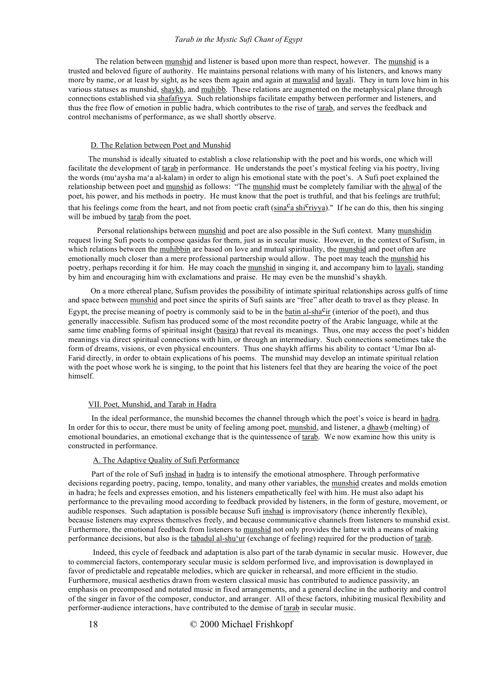The relation between munshid and listener is based upon more than respect, however. The munshid is a trusted and beloved figure of authority. He maintains personal relations with many of his listeners, and knows many more by name, or at least by sight, as he sees them again and again at mawalid and layali. They in turn love him in his various statuses as munshid, shaykh, and muhibb. These relations are augmented on the metaphysical plane through connections established via shafafiyya. Such relationships facilitate empathy between performer and listeners, and thus the free flow of emotion in public hadra, which contributes to the rise of tarab, and serves the feedback and control mechanisms of performance, as we shall shortly observe.

#### D. The Relation between Poet and Munshid

The munshid is ideally situated to establish a close relationship with the poet and his words, one which will facilitate the development of tarab in performance. He understands the poet's mystical feeling via his poetry, living the words (mu'aysha ma'a al-kalam) in order to align his emotional state with the poet's. A Sufi poet explained the relationship between poet and munshid as follows: "The munshid must be completely familiar with the ahwal of the poet, his power, and his methods in poetry. He must know that the poet is truthful, and that his feelings are truthful; that his feelings come from the heart, and not from poetic craft  $(\sin^2 a \sin^2 r)$ ." If he can do this, then his singing will be imbued by tarab from the poet.

Personal relationships between munshid and poet are also possible in the Sufi context. Many munshidin request living Sufi poets to compose qasidas for them, just as in secular music. However, in the context of Sufism, in which relations between the muhibbin are based on love and mutual spirituality, the munshid and poet often are emotionally much closer than a mere professional partnership would allow. The poet may teach the munshid his poetry, perhaps recording it for him. He may coach the munshid in singing it, and accompany him to layali, standing by him and encouraging him with exclamations and praise. He may even be the munshid's shaykh.

On a more ethereal plane, Sufism provides the possibility of intimate spiritual relationships across gulfs of time and space between munshid and poet since the spirits of Sufi saints are "free" after death to travel as they please. In Egypt, the precise meaning of poetry is commonly said to be in the batin al-sha<sup>c</sup>ir (interior of the poet), and thus generally inaccessible. Sufism has produced some of the most recondite poetry of the Arabic language, while at the same time enabling forms of spiritual insight (basira) that reveal its meanings. Thus, one may access the poet's hidden meanings via direct spiritual connections with him, or through an intermediary. Such connections sometimes take the form of dreams, visions, or even physical encounters. Thus one shaykh affirms his ability to contact 'Umar Ibn al-Farid directly, in order to obtain explications of his poems. The munshid may develop an intimate spiritual relation with the poet whose work he is singing, to the point that his listeners feel that they are hearing the voice of the poet himself.

#### VII. Poet, Munshid, and Tarab in Hadra

In the ideal performance, the munshid becomes the channel through which the poet's voice is heard in hadra. In order for this to occur, there must be unity of feeling among poet, munshid, and listener, a dhawb (melting) of emotional boundaries, an emotional exchange that is the quintessence of tarab. We now examine how this unity is constructed in performance.

## A. The Adaptive Quality of Sufi Performance

Part of the role of Sufi inshad in hadra is to intensify the emotional atmosphere. Through performative decisions regarding poetry, pacing, tempo, tonality, and many other variables, the munshid creates and molds emotion in hadra; he feels and expresses emotion, and his listeners empathetically feel with him. He must also adapt his performance to the prevailing mood according to feedback provided by listeners, in the form of gesture, movement, or audible responses. Such adaptation is possible because Sufi inshad is improvisatory (hence inherently flexible), because listeners may express themselves freely, and because communicative channels from listeners to munshid exist. Furthermore, the emotional feedback from listeners to munshid not only provides the latter with a means of making performance decisions, but also is the tabadul al-shu'ur (exchange of feeling) required for the production of tarab.

Indeed, this cycle of feedback and adaptation is also part of the tarab dynamic in secular music. However, due to commercial factors, contemporary secular music is seldom performed live, and improvisation is downplayed in favor of predictable and repeatable melodies, which are quicker in rehearsal, and more efficient in the studio. Furthermore, musical aesthetics drawn from western classical music has contributed to audience passivity, an emphasis on precomposed and notated music in fixed arrangements, and a general decline in the authority and control of the singer in favor of the composer, conductor, and arranger. All of these factors, inhibiting musical flexibility and performer-audience interactions, have contributed to the demise of tarab in secular music.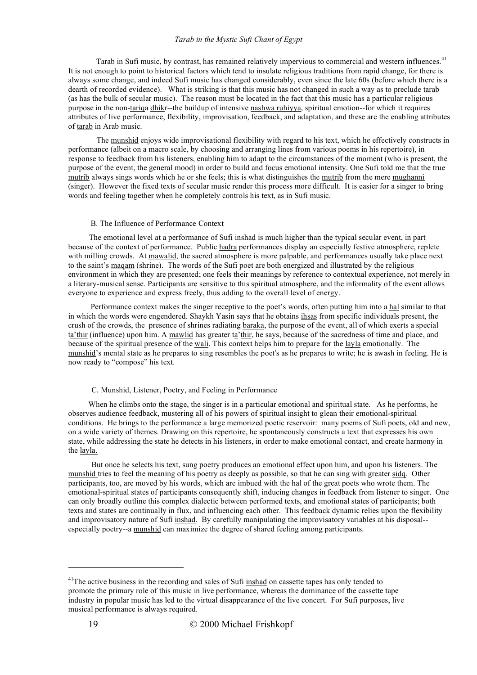Tarab in Sufi music, by contrast, has remained relatively impervious to commercial and western influences.<sup>41</sup> It is not enough to point to historical factors which tend to insulate religious traditions from rapid change, for there is always some change, and indeed Sufi music has changed considerably, even since the late 60s (before which there is a dearth of recorded evidence). What is striking is that this music has not changed in such a way as to preclude tarab (as has the bulk of secular music). The reason must be located in the fact that this music has a particular religious purpose in the non-tariqa dhikr--the buildup of intensive nashwa ruhiyya, spiritual emotion--for which it requires attributes of live performance, flexibility, improvisation, feedback, and adaptation, and these are the enabling attributes of tarab in Arab music.

The munshid enjoys wide improvisational flexibility with regard to his text, which he effectively constructs in performance (albeit on a macro scale, by choosing and arranging lines from various poems in his repertoire), in response to feedback from his listeners, enabling him to adapt to the circumstances of the moment (who is present, the purpose of the event, the general mood) in order to build and focus emotional intensity. One Sufi told me that the true mutrib always sings words which he or she feels; this is what distinguishes the mutrib from the mere mughanni (singer). However the fixed texts of secular music render this process more difficult. It is easier for a singer to bring words and feeling together when he completely controls his text, as in Sufi music.

## B. The Influence of Performance Context

The emotional level at a performance of Sufi inshad is much higher than the typical secular event, in part because of the context of performance. Public hadra performances display an especially festive atmosphere, replete with milling crowds. At mawalid, the sacred atmosphere is more palpable, and performances usually take place next to the saint's maqam (shrine). The words of the Sufi poet are both energized and illustrated by the religious environment in which they are presented; one feels their meanings by reference to contextual experience, not merely in a literary-musical sense. Participants are sensitive to this spiritual atmosphere, and the informality of the event allows everyone to experience and express freely, thus adding to the overall level of energy.

Performance context makes the singer receptive to the poet's words, often putting him into a hal similar to that in which the words were engendered. Shaykh Yasin says that he obtains ihsas from specific individuals present, the crush of the crowds, the presence of shrines radiating baraka, the purpose of the event, all of which exerts a special ta'thir (influence) upon him. A mawlid has greater ta'thir, he says, because of the sacredness of time and place, and because of the spiritual presence of the wali. This context helps him to prepare for the layla emotionally. The munshid's mental state as he prepares to sing resembles the poet's as he prepares to write; he is awash in feeling. He is now ready to "compose" his text.

#### C. Munshid, Listener, Poetry, and Feeling in Performance

When he climbs onto the stage, the singer is in a particular emotional and spiritual state. As he performs, he observes audience feedback, mustering all of his powers of spiritual insight to glean their emotional-spiritual conditions. He brings to the performance a large memorized poetic reservoir: many poems of Sufi poets, old and new, on a wide variety of themes. Drawing on this repertoire, he spontaneously constructs a text that expresses his own state, while addressing the state he detects in his listeners, in order to make emotional contact, and create harmony in the layla.

But once he selects his text, sung poetry produces an emotional effect upon him, and upon his listeners. The munshid tries to feel the meaning of his poetry as deeply as possible, so that he can sing with greater sidq. Other participants, too, are moved by his words, which are imbued with the hal of the great poets who wrote them. The emotional-spiritual states of participants consequently shift, inducing changes in feedback from listener to singer. One can only broadly outline this complex dialectic between performed texts, and emotional states of participants; both texts and states are continually in flux, and influencing each other. This feedback dynamic relies upon the flexibility and improvisatory nature of Sufi inshad. By carefully manipulating the improvisatory variables at his disposal- especially poetry--a munshid can maximize the degree of shared feeling among participants.

<sup>&</sup>lt;sup>41</sup>The active business in the recording and sales of Sufi inshad on cassette tapes has only tended to promote the primary role of this music in live performance, whereas the dominance of the cassette tape industry in popular music has led to the virtual disappearance of the live concert. For Sufi purposes, live musical performance is always required.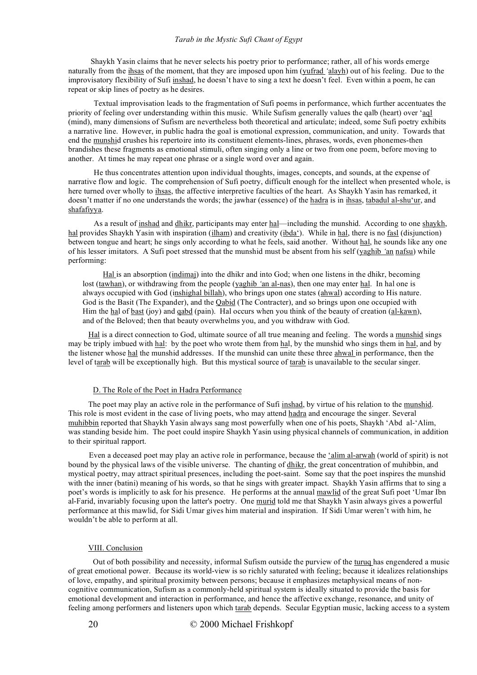Shaykh Yasin claims that he never selects his poetry prior to performance; rather, all of his words emerge naturally from the ihsas of the moment, that they are imposed upon him (yufrad *'*alayh) out of his feeling. Due to the improvisatory flexibility of Sufi inshad, he doesn't have to sing a text he doesn't feel. Even within a poem, he can repeat or skip lines of poetry as he desires.

Textual improvisation leads to the fragmentation of Sufi poems in performance, which further accentuates the priority of feeling over understanding within this music. While Sufism generally values the qalb (heart) over 'aql (mind), many dimensions of Sufism are nevertheless both theoretical and articulate; indeed, some Sufi poetry exhibits a narrative line. However, in public hadra the goal is emotional expression, communication, and unity. Towards that end the munshid crushes his repertoire into its constituent elements-lines, phrases, words, even phonemes-then brandishes these fragments as emotional stimuli, often singing only a line or two from one poem, before moving to another. At times he may repeat one phrase or a single word over and again.

He thus concentrates attention upon individual thoughts, images, concepts, and sounds, at the expense of narrative flow and logic. The comprehension of Sufi poetry, difficult enough for the intellect when presented whole, is here turned over wholly to ihsas, the affective interpretive faculties of the heart. As Shaykh Yasin has remarked, it doesn't matter if no one understands the words; the jawhar (essence) of the hadra is in ihsas, tabadul al-shu'ur, and shafafiyya.

As a result of inshad and dhikr, participants may enter hal—including the munshid. According to one shaykh, hal provides Shaykh Yasin with inspiration (ilham) and creativity (ibda'). While in hal, there is no fasl (disjunction) between tongue and heart; he sings only according to what he feels, said another. Without hal, he sounds like any one of his lesser imitators. A Sufi poet stressed that the munshid must be absent from his self (yaghib *'*an nafsu) while performing:

Hal is an absorption (indimaj) into the dhikr and into God; when one listens in the dhikr, becoming lost (tawhan), or withdrawing from the people (yaghib *'*an al-nas), then one may enter hal. In hal one is always occupied with God (inshighal billah), who brings upon one states (ahwal) according to His nature. God is the Basit (The Expander), and the **Qabid** (The Contracter), and so brings upon one occupied with Him the hal of bast (joy) and gabd (pain). Hal occurs when you think of the beauty of creation (al-kawn), and of the Beloved; then that beauty overwhelms you, and you withdraw with God.

Hal is a direct connection to God, ultimate source of all true meaning and feeling. The words a munshid sings may be triply imbued with hal: by the poet who wrote them from hal, by the munshid who sings them in hal, and by the listener whose hal the munshid addresses. If the munshid can unite these three ahwal in performance, then the level of tarab will be exceptionally high. But this mystical source of tarab is unavailable to the secular singer.

#### D. The Role of the Poet in Hadra Performance

The poet may play an active role in the performance of Sufi inshad, by virtue of his relation to the munshid. This role is most evident in the case of living poets, who may attend hadra and encourage the singer. Several muhibbin reported that Shaykh Yasin always sang most powerfully when one of his poets, Shaykh 'Abd al-'Alim, was standing beside him. The poet could inspire Shaykh Yasin using physical channels of communication, in addition to their spiritual rapport.

Even a deceased poet may play an active role in performance, because the 'alim al-arwah (world of spirit) is not bound by the physical laws of the visible universe. The chanting of dhikr, the great concentration of muhibbin, and mystical poetry, may attract spiritual presences, including the poet-saint. Some say that the poet inspires the munshid with the inner (batini) meaning of his words, so that he sings with greater impact. Shaykh Yasin affirms that to sing a poet's words is implicitly to ask for his presence. He performs at the annual mawlid of the great Sufi poet 'Umar Ibn al-Farid, invariably focusing upon the latter's poetry. One murid told me that Shaykh Yasin always gives a powerful performance at this mawlid, for Sidi Umar gives him material and inspiration. If Sidi Umar weren't with him, he wouldn't be able to perform at all.

# VIII. Conclusion

Out of both possibility and necessity, informal Sufism outside the purview of the turuq has engendered a music of great emotional power. Because its world-view is so richly saturated with feeling; because it idealizes relationships of love, empathy, and spiritual proximity between persons; because it emphasizes metaphysical means of noncognitive communication, Sufism as a commonly-held spiritual system is ideally situated to provide the basis for emotional development and interaction in performance, and hence the affective exchange, resonance, and unity of feeling among performers and listeners upon which tarab depends. Secular Egyptian music, lacking access to a system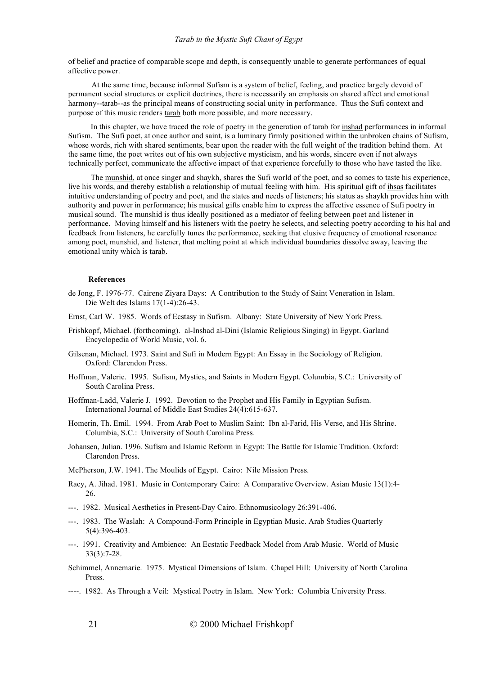of belief and practice of comparable scope and depth, is consequently unable to generate performances of equal affective power.

At the same time, because informal Sufism is a system of belief, feeling, and practice largely devoid of permanent social structures or explicit doctrines, there is necessarily an emphasis on shared affect and emotional harmony--tarab--as the principal means of constructing social unity in performance. Thus the Sufi context and purpose of this music renders tarab both more possible, and more necessary.

In this chapter, we have traced the role of poetry in the generation of tarab for inshad performances in informal Sufism. The Sufi poet, at once author and saint, is a luminary firmly positioned within the unbroken chains of Sufism, whose words, rich with shared sentiments, bear upon the reader with the full weight of the tradition behind them. At the same time, the poet writes out of his own subjective mysticism, and his words, sincere even if not always technically perfect, communicate the affective impact of that experience forcefully to those who have tasted the like.

The munshid, at once singer and shaykh, shares the Sufi world of the poet, and so comes to taste his experience, live his words, and thereby establish a relationship of mutual feeling with him. His spiritual gift of ihsas facilitates intuitive understanding of poetry and poet, and the states and needs of listeners; his status as shaykh provides him with authority and power in performance; his musical gifts enable him to express the affective essence of Sufi poetry in musical sound. The munshid is thus ideally positioned as a mediator of feeling between poet and listener in performance. Moving himself and his listeners with the poetry he selects, and selecting poetry according to his hal and feedback from listeners, he carefully tunes the performance, seeking that elusive frequency of emotional resonance among poet, munshid, and listener, that melting point at which individual boundaries dissolve away, leaving the emotional unity which is tarab.

#### **References**

de Jong, F. 1976-77. Cairene Ziyara Days: A Contribution to the Study of Saint Veneration in Islam. Die Welt des Islams 17(1-4):26-43.

Ernst, Carl W. 1985. Words of Ecstasy in Sufism. Albany: State University of New York Press.

- Frishkopf, Michael. (forthcoming). al-Inshad al-Dini (Islamic Religious Singing) in Egypt. Garland Encyclopedia of World Music, vol. 6.
- Gilsenan, Michael. 1973. Saint and Sufi in Modern Egypt: An Essay in the Sociology of Religion. Oxford: Clarendon Press.
- Hoffman, Valerie. 1995. Sufism, Mystics, and Saints in Modern Egypt. Columbia, S.C.: University of South Carolina Press.
- Hoffman-Ladd, Valerie J. 1992. Devotion to the Prophet and His Family in Egyptian Sufism. International Journal of Middle East Studies 24(4):615-637.
- Homerin, Th. Emil. 1994. From Arab Poet to Muslim Saint: Ibn al-Farid, His Verse, and His Shrine. Columbia, S.C.: University of South Carolina Press.
- Johansen, Julian. 1996. Sufism and Islamic Reform in Egypt: The Battle for Islamic Tradition. Oxford: Clarendon Press.
- McPherson, J.W. 1941. The Moulids of Egypt. Cairo: Nile Mission Press.
- Racy, A. Jihad. 1981. Music in Contemporary Cairo: A Comparative Overview. Asian Music 13(1):4- 26.
- ---. 1982. Musical Aesthetics in Present-Day Cairo. Ethnomusicology 26:391-406.
- ---. 1983. The Waslah: A Compound-Form Principle in Egyptian Music. Arab Studies Quarterly 5(4):396-403.
- ---. 1991. Creativity and Ambience: An Ecstatic Feedback Model from Arab Music. World of Music 33(3):7-28.
- Schimmel, Annemarie. 1975. Mystical Dimensions of Islam. Chapel Hill: University of North Carolina Press.
- ----. 1982. As Through a Veil: Mystical Poetry in Islam. New York: Columbia University Press.